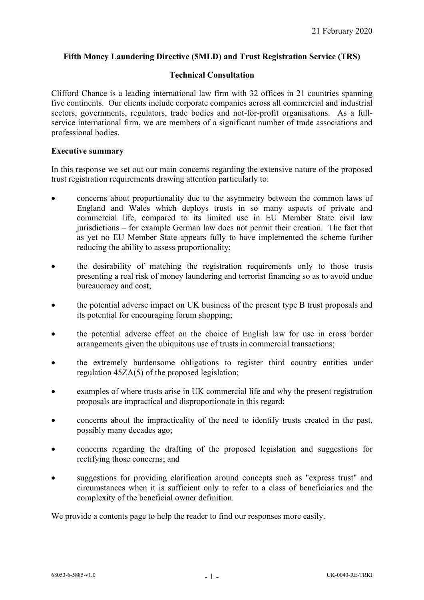# **Fifth Money Laundering Directive (5MLD) and Trust Registration Service (TRS)**

### **Technical Consultation**

Clifford Chance is a leading international law firm with 32 offices in 21 countries spanning five continents. Our clients include corporate companies across all commercial and industrial sectors, governments, regulators, trade bodies and not-for-profit organisations. As a fullservice international firm, we are members of a significant number of trade associations and professional bodies.

### **Executive summary**

In this response we set out our main concerns regarding the extensive nature of the proposed trust registration requirements drawing attention particularly to:

- concerns about proportionality due to the asymmetry between the common laws of England and Wales which deploys trusts in so many aspects of private and commercial life, compared to its limited use in EU Member State civil law jurisdictions – for example German law does not permit their creation. The fact that as yet no EU Member State appears fully to have implemented the scheme further reducing the ability to assess proportionality;
- the desirability of matching the registration requirements only to those trusts presenting a real risk of money laundering and terrorist financing so as to avoid undue bureaucracy and cost;
- the potential adverse impact on UK business of the present type B trust proposals and its potential for encouraging forum shopping;
- the potential adverse effect on the choice of English law for use in cross border arrangements given the ubiquitous use of trusts in commercial transactions;
- the extremely burdensome obligations to register third country entities under regulation 45ZA(5) of the proposed legislation;
- examples of where trusts arise in UK commercial life and why the present registration proposals are impractical and disproportionate in this regard;
- concerns about the impracticality of the need to identify trusts created in the past, possibly many decades ago;
- concerns regarding the drafting of the proposed legislation and suggestions for rectifying those concerns; and
- suggestions for providing clarification around concepts such as "express trust" and circumstances when it is sufficient only to refer to a class of beneficiaries and the complexity of the beneficial owner definition.

We provide a contents page to help the reader to find our responses more easily.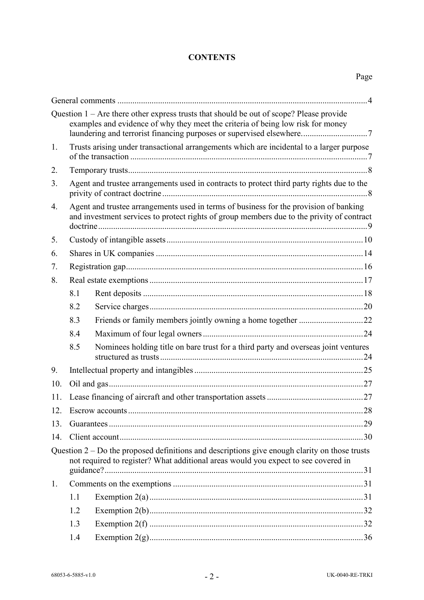### **CONTENTS**

|     |                                                                                                                                                                                    | Question $1 -$ Are there other express trusts that should be out of scope? Please provide<br>examples and evidence of why they meet the criteria of being low risk for money<br>laundering and terrorist financing purposes or supervised elsewhere7 |  |  |
|-----|------------------------------------------------------------------------------------------------------------------------------------------------------------------------------------|------------------------------------------------------------------------------------------------------------------------------------------------------------------------------------------------------------------------------------------------------|--|--|
| 1.  | Trusts arising under transactional arrangements which are incidental to a larger purpose                                                                                           |                                                                                                                                                                                                                                                      |  |  |
| 2.  |                                                                                                                                                                                    |                                                                                                                                                                                                                                                      |  |  |
| 3.  | Agent and trustee arrangements used in contracts to protect third party rights due to the                                                                                          |                                                                                                                                                                                                                                                      |  |  |
| 4.  | Agent and trustee arrangements used in terms of business for the provision of banking<br>and investment services to protect rights of group members due to the privity of contract |                                                                                                                                                                                                                                                      |  |  |
| 5.  |                                                                                                                                                                                    |                                                                                                                                                                                                                                                      |  |  |
| 6.  |                                                                                                                                                                                    |                                                                                                                                                                                                                                                      |  |  |
| 7.  |                                                                                                                                                                                    |                                                                                                                                                                                                                                                      |  |  |
| 8.  |                                                                                                                                                                                    |                                                                                                                                                                                                                                                      |  |  |
|     | 8.1                                                                                                                                                                                |                                                                                                                                                                                                                                                      |  |  |
|     | 8.2                                                                                                                                                                                |                                                                                                                                                                                                                                                      |  |  |
|     | 8.3                                                                                                                                                                                |                                                                                                                                                                                                                                                      |  |  |
|     | 8.4                                                                                                                                                                                |                                                                                                                                                                                                                                                      |  |  |
|     | 8.5                                                                                                                                                                                | Nominees holding title on bare trust for a third party and overseas joint ventures                                                                                                                                                                   |  |  |
| 9.  |                                                                                                                                                                                    |                                                                                                                                                                                                                                                      |  |  |
| 10. |                                                                                                                                                                                    |                                                                                                                                                                                                                                                      |  |  |
| 11. |                                                                                                                                                                                    |                                                                                                                                                                                                                                                      |  |  |
| 12. |                                                                                                                                                                                    |                                                                                                                                                                                                                                                      |  |  |
| 13. |                                                                                                                                                                                    |                                                                                                                                                                                                                                                      |  |  |
| 14. |                                                                                                                                                                                    |                                                                                                                                                                                                                                                      |  |  |
|     |                                                                                                                                                                                    | Question $2 - Do$ the proposed definitions and descriptions give enough clarity on those trusts<br>not required to register? What additional areas would you expect to see covered in                                                                |  |  |
| 1.  |                                                                                                                                                                                    |                                                                                                                                                                                                                                                      |  |  |
|     | 1.1                                                                                                                                                                                |                                                                                                                                                                                                                                                      |  |  |
|     | 1.2                                                                                                                                                                                |                                                                                                                                                                                                                                                      |  |  |
|     | 1.3                                                                                                                                                                                |                                                                                                                                                                                                                                                      |  |  |
|     | 1.4                                                                                                                                                                                |                                                                                                                                                                                                                                                      |  |  |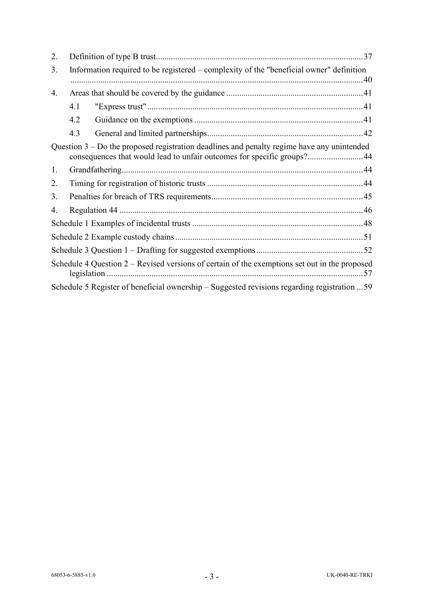| 2. |                                                                                         |                                                                                                                                                                        |  |  |
|----|-----------------------------------------------------------------------------------------|------------------------------------------------------------------------------------------------------------------------------------------------------------------------|--|--|
| 3. | Information required to be registered – complexity of the "beneficial owner" definition |                                                                                                                                                                        |  |  |
| 4. |                                                                                         |                                                                                                                                                                        |  |  |
|    | 4.1                                                                                     |                                                                                                                                                                        |  |  |
|    | 4.2                                                                                     |                                                                                                                                                                        |  |  |
|    | 4.3                                                                                     |                                                                                                                                                                        |  |  |
|    |                                                                                         | Question $3 - Do$ the proposed registration deadlines and penalty regime have any unintended<br>consequences that would lead to unfair outcomes for specific groups?44 |  |  |
| 1. |                                                                                         |                                                                                                                                                                        |  |  |
| 2. |                                                                                         |                                                                                                                                                                        |  |  |
| 3. |                                                                                         |                                                                                                                                                                        |  |  |
| 4. |                                                                                         |                                                                                                                                                                        |  |  |
|    |                                                                                         |                                                                                                                                                                        |  |  |
|    |                                                                                         |                                                                                                                                                                        |  |  |
|    |                                                                                         |                                                                                                                                                                        |  |  |
|    |                                                                                         | Schedule 4 Question $2 -$ Revised versions of certain of the exemptions set out in the proposed                                                                        |  |  |
|    |                                                                                         | Schedule 5 Register of beneficial ownership – Suggested revisions regarding registration  59                                                                           |  |  |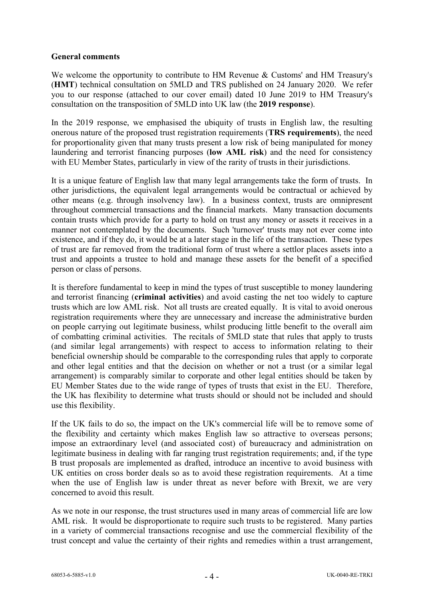## **General comments**

We welcome the opportunity to contribute to HM Revenue & Customs' and HM Treasury's (**HMT**) technical consultation on 5MLD and TRS published on 24 January 2020. We refer you to our response (attached to our cover email) dated 10 June 2019 to HM Treasury's consultation on the transposition of 5MLD into UK law (the **2019 response**).

In the 2019 response, we emphasised the ubiquity of trusts in English law, the resulting onerous nature of the proposed trust registration requirements (**TRS requirements**), the need for proportionality given that many trusts present a low risk of being manipulated for money laundering and terrorist financing purposes (**low AML risk**) and the need for consistency with EU Member States, particularly in view of the rarity of trusts in their jurisdictions.

It is a unique feature of English law that many legal arrangements take the form of trusts. In other jurisdictions, the equivalent legal arrangements would be contractual or achieved by other means (e.g. through insolvency law). In a business context, trusts are omnipresent throughout commercial transactions and the financial markets. Many transaction documents contain trusts which provide for a party to hold on trust any money or assets it receives in a manner not contemplated by the documents. Such 'turnover' trusts may not ever come into existence, and if they do, it would be at a later stage in the life of the transaction. These types of trust are far removed from the traditional form of trust where a settlor places assets into a trust and appoints a trustee to hold and manage these assets for the benefit of a specified person or class of persons.

It is therefore fundamental to keep in mind the types of trust susceptible to money laundering and terrorist financing (**criminal activities**) and avoid casting the net too widely to capture trusts which are low AML risk. Not all trusts are created equally. It is vital to avoid onerous registration requirements where they are unnecessary and increase the administrative burden on people carrying out legitimate business, whilst producing little benefit to the overall aim of combatting criminal activities. The recitals of 5MLD state that rules that apply to trusts (and similar legal arrangements) with respect to access to information relating to their beneficial ownership should be comparable to the corresponding rules that apply to corporate and other legal entities and that the decision on whether or not a trust (or a similar legal arrangement) is comparably similar to corporate and other legal entities should be taken by EU Member States due to the wide range of types of trusts that exist in the EU. Therefore, the UK has flexibility to determine what trusts should or should not be included and should use this flexibility.

If the UK fails to do so, the impact on the UK's commercial life will be to remove some of the flexibility and certainty which makes English law so attractive to overseas persons; impose an extraordinary level (and associated cost) of bureaucracy and administration on legitimate business in dealing with far ranging trust registration requirements; and, if the type B trust proposals are implemented as drafted, introduce an incentive to avoid business with UK entities on cross border deals so as to avoid these registration requirements. At a time when the use of English law is under threat as never before with Brexit, we are very concerned to avoid this result.

As we note in our response, the trust structures used in many areas of commercial life are low AML risk. It would be disproportionate to require such trusts to be registered. Many parties in a variety of commercial transactions recognise and use the commercial flexibility of the trust concept and value the certainty of their rights and remedies within a trust arrangement,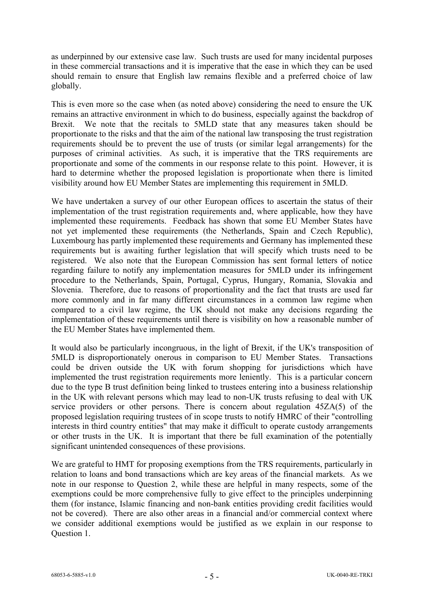as underpinned by our extensive case law. Such trusts are used for many incidental purposes in these commercial transactions and it is imperative that the ease in which they can be used should remain to ensure that English law remains flexible and a preferred choice of law globally.

This is even more so the case when (as noted above) considering the need to ensure the UK remains an attractive environment in which to do business, especially against the backdrop of Brexit. We note that the recitals to 5MLD state that any measures taken should be proportionate to the risks and that the aim of the national law transposing the trust registration requirements should be to prevent the use of trusts (or similar legal arrangements) for the purposes of criminal activities. As such, it is imperative that the TRS requirements are proportionate and some of the comments in our response relate to this point. However, it is hard to determine whether the proposed legislation is proportionate when there is limited visibility around how EU Member States are implementing this requirement in 5MLD.

We have undertaken a survey of our other European offices to ascertain the status of their implementation of the trust registration requirements and, where applicable, how they have implemented these requirements. Feedback has shown that some EU Member States have not yet implemented these requirements (the Netherlands, Spain and Czech Republic), Luxembourg has partly implemented these requirements and Germany has implemented these requirements but is awaiting further legislation that will specify which trusts need to be registered. We also note that the European Commission has sent formal letters of notice regarding failure to notify any implementation measures for 5MLD under its infringement procedure to the Netherlands, Spain, Portugal, Cyprus, Hungary, Romania, Slovakia and Slovenia. Therefore, due to reasons of proportionality and the fact that trusts are used far more commonly and in far many different circumstances in a common law regime when compared to a civil law regime, the UK should not make any decisions regarding the implementation of these requirements until there is visibility on how a reasonable number of the EU Member States have implemented them.

It would also be particularly incongruous, in the light of Brexit, if the UK's transposition of 5MLD is disproportionately onerous in comparison to EU Member States. Transactions could be driven outside the UK with forum shopping for jurisdictions which have implemented the trust registration requirements more leniently. This is a particular concern due to the type B trust definition being linked to trustees entering into a business relationship in the UK with relevant persons which may lead to non-UK trusts refusing to deal with UK service providers or other persons. There is concern about regulation 45ZA(5) of the proposed legislation requiring trustees of in scope trusts to notify HMRC of their "controlling interests in third country entities" that may make it difficult to operate custody arrangements or other trusts in the UK. It is important that there be full examination of the potentially significant unintended consequences of these provisions.

We are grateful to HMT for proposing exemptions from the TRS requirements, particularly in relation to loans and bond transactions which are key areas of the financial markets. As we note in our response to Question 2, while these are helpful in many respects, some of the exemptions could be more comprehensive fully to give effect to the principles underpinning them (for instance, Islamic financing and non-bank entities providing credit facilities would not be covered). There are also other areas in a financial and/or commercial context where we consider additional exemptions would be justified as we explain in our response to Question 1.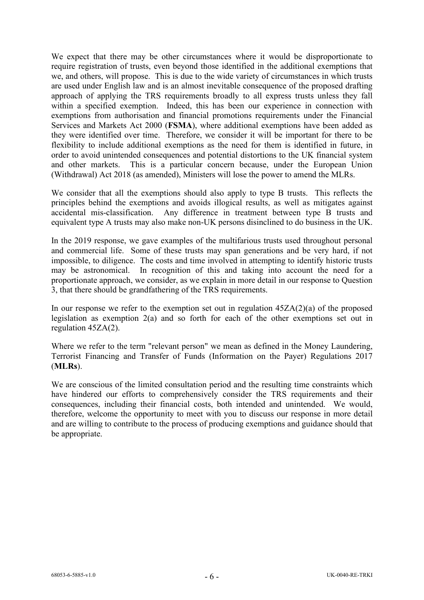We expect that there may be other circumstances where it would be disproportionate to require registration of trusts, even beyond those identified in the additional exemptions that we, and others, will propose. This is due to the wide variety of circumstances in which trusts are used under English law and is an almost inevitable consequence of the proposed drafting approach of applying the TRS requirements broadly to all express trusts unless they fall within a specified exemption. Indeed, this has been our experience in connection with exemptions from authorisation and financial promotions requirements under the Financial Services and Markets Act 2000 (**FSMA**), where additional exemptions have been added as they were identified over time. Therefore, we consider it will be important for there to be flexibility to include additional exemptions as the need for them is identified in future, in order to avoid unintended consequences and potential distortions to the UK financial system and other markets. This is a particular concern because, under the European Union (Withdrawal) Act 2018 (as amended), Ministers will lose the power to amend the MLRs.

We consider that all the exemptions should also apply to type B trusts. This reflects the principles behind the exemptions and avoids illogical results, as well as mitigates against accidental mis-classification. Any difference in treatment between type B trusts and equivalent type A trusts may also make non-UK persons disinclined to do business in the UK.

In the 2019 response, we gave examples of the multifarious trusts used throughout personal and commercial life. Some of these trusts may span generations and be very hard, if not impossible, to diligence. The costs and time involved in attempting to identify historic trusts may be astronomical. In recognition of this and taking into account the need for a proportionate approach, we consider, as we explain in more detail in our response to Question 3, that there should be grandfathering of the TRS requirements.

In our response we refer to the exemption set out in regulation  $45ZA(2)(a)$  of the proposed legislation as exemption 2(a) and so forth for each of the other exemptions set out in regulation 45ZA(2).

Where we refer to the term "relevant person" we mean as defined in the Money Laundering, Terrorist Financing and Transfer of Funds (Information on the Payer) Regulations 2017 (**MLRs**).

We are conscious of the limited consultation period and the resulting time constraints which have hindered our efforts to comprehensively consider the TRS requirements and their consequences, including their financial costs, both intended and unintended. We would, therefore, welcome the opportunity to meet with you to discuss our response in more detail and are willing to contribute to the process of producing exemptions and guidance should that be appropriate.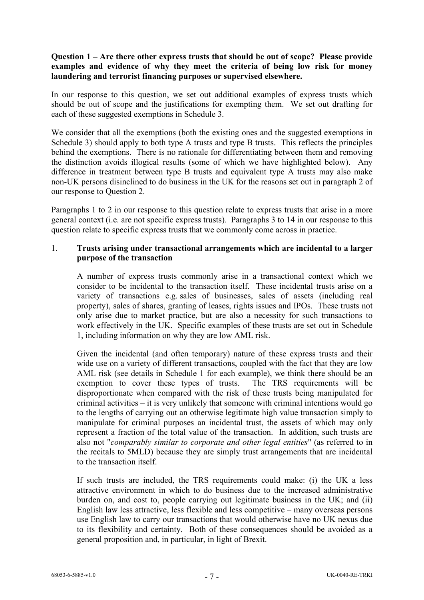# **Question 1 – Are there other express trusts that should be out of scope? Please provide examples and evidence of why they meet the criteria of being low risk for money laundering and terrorist financing purposes or supervised elsewhere.**

In our response to this question, we set out additional examples of express trusts which should be out of scope and the justifications for exempting them. We set out drafting for each of these suggested exemptions in [Schedule 3.](#page-51-0)

We consider that all the exemptions (both the existing ones and the suggested exemptions in [Schedule 3\)](#page-51-0) should apply to both type A trusts and type B trusts. This reflects the principles behind the exemptions. There is no rationale for differentiating between them and removing the distinction avoids illogical results (some of which we have highlighted below). Any difference in treatment between type B trusts and equivalent type A trusts may also make non-UK persons disinclined to do business in the UK for the reasons set out in paragraph [2](#page-36-0) of our response to Question 2.

Paragraphs 1 to 2 in our response to this question relate to express trusts that arise in a more general context (i.e. are not specific express trusts). Paragraphs 3 to [14](#page-29-0) in our response to this question relate to specific express trusts that we commonly come across in practice.

## 1. **Trusts arising under transactional arrangements which are incidental to a larger purpose of the transaction**

A number of express trusts commonly arise in a transactional context which we consider to be incidental to the transaction itself. These incidental trusts arise on a variety of transactions e.g. sales of businesses, sales of assets (including real property), sales of shares, granting of leases, rights issues and IPOs. These trusts not only arise due to market practice, but are also a necessity for such transactions to work effectively in the UK. Specific examples of these trusts are set out in Schedule 1, including information on why they are low AML risk.

Given the incidental (and often temporary) nature of these express trusts and their wide use on a variety of different transactions, coupled with the fact that they are low AML risk (see details in [Schedule 1](#page-47-0) for each example), we think there should be an exemption to cover these types of trusts. The TRS requirements will be disproportionate when compared with the risk of these trusts being manipulated for criminal activities – it is very unlikely that someone with criminal intentions would go to the lengths of carrying out an otherwise legitimate high value transaction simply to manipulate for criminal purposes an incidental trust, the assets of which may only represent a fraction of the total value of the transaction. In addition, such trusts are also not "*comparably similar to corporate and other legal entities*" (as referred to in the recitals to 5MLD) because they are simply trust arrangements that are incidental to the transaction itself.

If such trusts are included, the TRS requirements could make: (i) the UK a less attractive environment in which to do business due to the increased administrative burden on, and cost to, people carrying out legitimate business in the UK; and (ii) English law less attractive, less flexible and less competitive – many overseas persons use English law to carry our transactions that would otherwise have no UK nexus due to its flexibility and certainty. Both of these consequences should be avoided as a general proposition and, in particular, in light of Brexit.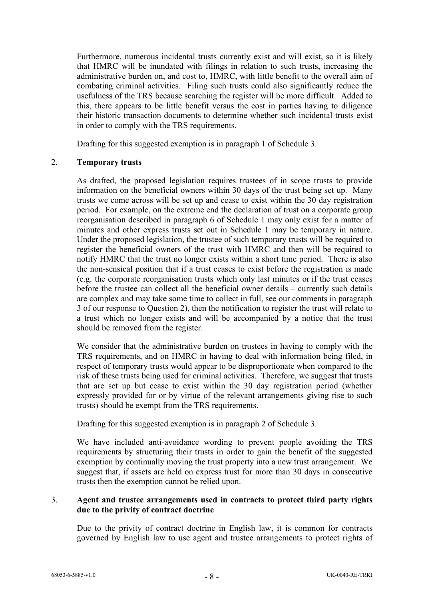Furthermore, numerous incidental trusts currently exist and will exist, so it is likely that HMRC will be inundated with filings in relation to such trusts, increasing the administrative burden on, and cost to, HMRC, with little benefit to the overall aim of combating criminal activities. Filing such trusts could also significantly reduce the usefulness of the TRS because searching the register will be more difficult. Added to this, there appears to be little benefit versus the cost in parties having to diligence their historic transaction documents to determine whether such incidental trusts exist in order to comply with the TRS requirements.

Drafting for this suggested exemption is in paragraph [1](#page-51-1) of [Schedule 3.](#page-51-0)

### 2. **Temporary trusts**

As drafted, the proposed legislation requires trustees of in scope trusts to provide information on the beneficial owners within 30 days of the trust being set up. Many trusts we come across will be set up and cease to exist within the 30 day registration period. For example, on the extreme end the declaration of trust on a corporate group reorganisation described in paragraph 6 of [Schedule 1](#page-47-0) may only exist for a matter of minutes and other express trusts set out in [Schedule 1](#page-47-0) may be temporary in nature. Under the proposed legislation, the trustee of such temporary trusts will be required to register the beneficial owners of the trust with HMRC and then will be required to notify HMRC that the trust no longer exists within a short time period. There is also the non-sensical position that if a trust ceases to exist before the registration is made (e.g. the corporate reorganisation trusts which only last minutes or if the trust ceases before the trustee can collect all the beneficial owner details – currently such details are complex and may take some time to collect in full, see our comments in paragraph 3 of our response to Question 2), then the notification to register the trust will relate to a trust which no longer exists and will be accompanied by a notice that the trust should be removed from the register.

We consider that the administrative burden on trustees in having to comply with the TRS requirements, and on HMRC in having to deal with information being filed, in respect of temporary trusts would appear to be disproportionate when compared to the risk of these trusts being used for criminal activities. Therefore, we suggest that trusts that are set up but cease to exist within the 30 day registration period (whether expressly provided for or by virtue of the relevant arrangements giving rise to such trusts) should be exempt from the TRS requirements.

Drafting for this suggested exemption is in paragraph [2](#page-51-2) of [Schedule 3.](#page-51-0)

We have included anti-avoidance wording to prevent people avoiding the TRS requirements by structuring their trusts in order to gain the benefit of the suggested exemption by continually moving the trust property into a new trust arrangement. We suggest that, if assets are held on express trust for more than 30 days in consecutive trusts then the exemption cannot be relied upon.

### <span id="page-7-0"></span>3. **Agent and trustee arrangements used in contracts to protect third party rights due to the privity of contract doctrine**

Due to the privity of contract doctrine in English law, it is common for contracts governed by English law to use agent and trustee arrangements to protect rights of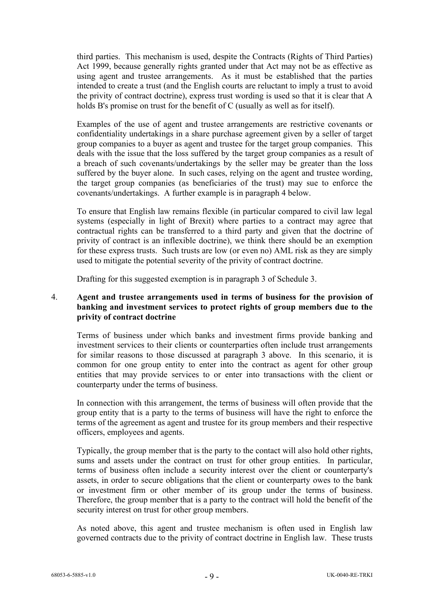third parties. This mechanism is used, despite the Contracts (Rights of Third Parties) Act 1999, because generally rights granted under that Act may not be as effective as using agent and trustee arrangements. As it must be established that the parties intended to create a trust (and the English courts are reluctant to imply a trust to avoid the privity of contract doctrine), express trust wording is used so that it is clear that A holds B's promise on trust for the benefit of C (usually as well as for itself).

Examples of the use of agent and trustee arrangements are restrictive covenants or confidentiality undertakings in a share purchase agreement given by a seller of target group companies to a buyer as agent and trustee for the target group companies. This deals with the issue that the loss suffered by the target group companies as a result of a breach of such covenants/undertakings by the seller may be greater than the loss suffered by the buyer alone. In such cases, relying on the agent and trustee wording, the target group companies (as beneficiaries of the trust) may sue to enforce the covenants/undertakings. A further example is in paragraph 4 below.

To ensure that English law remains flexible (in particular compared to civil law legal systems (especially in light of Brexit) where parties to a contract may agree that contractual rights can be transferred to a third party and given that the doctrine of privity of contract is an inflexible doctrine), we think there should be an exemption for these express trusts. Such trusts are low (or even no) AML risk as they are simply used to mitigate the potential severity of the privity of contract doctrine.

Drafting for this suggested exemption is in paragraph [3](#page-51-3) of [Schedule 3.](#page-51-0)

## 4. **Agent and trustee arrangements used in terms of business for the provision of banking and investment services to protect rights of group members due to the privity of contract doctrine**

Terms of business under which banks and investment firms provide banking and investment services to their clients or counterparties often include trust arrangements for similar reasons to those discussed at paragraph [3](#page-7-0) above. In this scenario, it is common for one group entity to enter into the contract as agent for other group entities that may provide services to or enter into transactions with the client or counterparty under the terms of business.

In connection with this arrangement, the terms of business will often provide that the group entity that is a party to the terms of business will have the right to enforce the terms of the agreement as agent and trustee for its group members and their respective officers, employees and agents.

Typically, the group member that is the party to the contact will also hold other rights, sums and assets under the contract on trust for other group entities. In particular, terms of business often include a security interest over the client or counterparty's assets, in order to secure obligations that the client or counterparty owes to the bank or investment firm or other member of its group under the terms of business. Therefore, the group member that is a party to the contract will hold the benefit of the security interest on trust for other group members.

As noted above, this agent and trustee mechanism is often used in English law governed contracts due to the privity of contract doctrine in English law. These trusts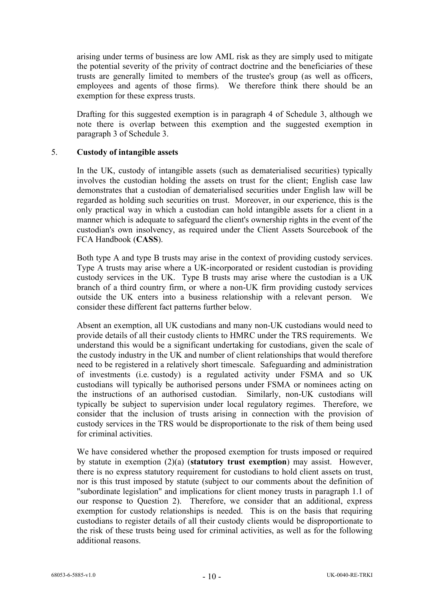arising under terms of business are low AML risk as they are simply used to mitigate the potential severity of the privity of contract doctrine and the beneficiaries of these trusts are generally limited to members of the trustee's group (as well as officers, employees and agents of those firms). We therefore think there should be an exemption for these express trusts.

Drafting for this suggested exemption is in paragraph [4](#page-51-4) of Schedule 3, although we note there is overlap between this exemption and the suggested exemption in paragraph 3 of Schedule 3.

### <span id="page-9-0"></span>5. **Custody of intangible assets**

In the UK, custody of intangible assets (such as dematerialised securities) typically involves the custodian holding the assets on trust for the client; English case law demonstrates that a custodian of dematerialised securities under English law will be regarded as holding such securities on trust. Moreover, in our experience, this is the only practical way in which a custodian can hold intangible assets for a client in a manner which is adequate to safeguard the client's ownership rights in the event of the custodian's own insolvency, as required under the Client Assets Sourcebook of the FCA Handbook (**CASS**).

Both type A and type B trusts may arise in the context of providing custody services. Type A trusts may arise where a UK-incorporated or resident custodian is providing custody services in the UK. Type B trusts may arise where the custodian is a UK branch of a third country firm, or where a non-UK firm providing custody services outside the UK enters into a business relationship with a relevant person. We consider these different fact patterns further below.

Absent an exemption, all UK custodians and many non-UK custodians would need to provide details of all their custody clients to HMRC under the TRS requirements. We understand this would be a significant undertaking for custodians, given the scale of the custody industry in the UK and number of client relationships that would therefore need to be registered in a relatively short timescale. Safeguarding and administration of investments (i.e. custody) is a regulated activity under FSMA and so UK custodians will typically be authorised persons under FSMA or nominees acting on the instructions of an authorised custodian. Similarly, non-UK custodians will typically be subject to supervision under local regulatory regimes. Therefore, we consider that the inclusion of trusts arising in connection with the provision of custody services in the TRS would be disproportionate to the risk of them being used for criminal activities.

We have considered whether the proposed exemption for trusts imposed or required by statute in exemption (2)(a) (**statutory trust exemption**) may assist. However, there is no express statutory requirement for custodians to hold client assets on trust, nor is this trust imposed by statute (subject to our comments about the definition of "subordinate legislation" and implications for client money trusts in paragraph [1.1](#page-30-0) of our response to Question 2). Therefore, we consider that an additional, express exemption for custody relationships is needed. This is on the basis that requiring custodians to register details of all their custody clients would be disproportionate to the risk of these trusts being used for criminal activities, as well as for the following additional reasons.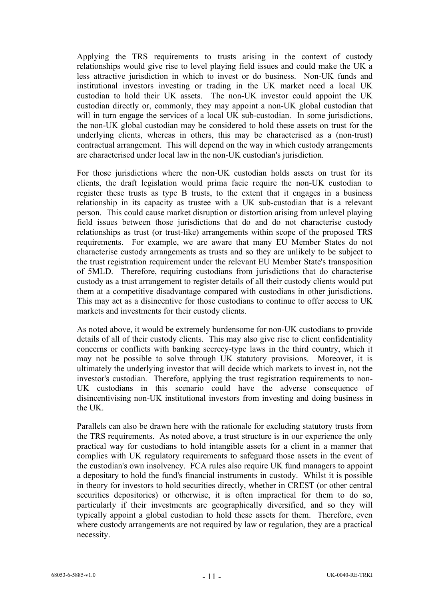Applying the TRS requirements to trusts arising in the context of custody relationships would give rise to level playing field issues and could make the UK a less attractive jurisdiction in which to invest or do business. Non-UK funds and institutional investors investing or trading in the UK market need a local UK custodian to hold their UK assets. The non-UK investor could appoint the UK custodian directly or, commonly, they may appoint a non-UK global custodian that will in turn engage the services of a local UK sub-custodian. In some jurisdictions, the non-UK global custodian may be considered to hold these assets on trust for the underlying clients, whereas in others, this may be characterised as a (non-trust) contractual arrangement. This will depend on the way in which custody arrangements are characterised under local law in the non-UK custodian's jurisdiction.

For those jurisdictions where the non-UK custodian holds assets on trust for its clients, the draft legislation would prima facie require the non-UK custodian to register these trusts as type B trusts, to the extent that it engages in a business relationship in its capacity as trustee with a UK sub-custodian that is a relevant person. This could cause market disruption or distortion arising from unlevel playing field issues between those jurisdictions that do and do not characterise custody relationships as trust (or trust-like) arrangements within scope of the proposed TRS requirements. For example, we are aware that many EU Member States do not characterise custody arrangements as trusts and so they are unlikely to be subject to the trust registration requirement under the relevant EU Member State's transposition of 5MLD. Therefore, requiring custodians from jurisdictions that do characterise custody as a trust arrangement to register details of all their custody clients would put them at a competitive disadvantage compared with custodians in other jurisdictions. This may act as a disincentive for those custodians to continue to offer access to UK markets and investments for their custody clients.

As noted above, it would be extremely burdensome for non-UK custodians to provide details of all of their custody clients. This may also give rise to client confidentiality concerns or conflicts with banking secrecy-type laws in the third country, which it may not be possible to solve through UK statutory provisions. Moreover, it is ultimately the underlying investor that will decide which markets to invest in, not the investor's custodian. Therefore, applying the trust registration requirements to non-UK custodians in this scenario could have the adverse consequence of disincentivising non-UK institutional investors from investing and doing business in the UK.

Parallels can also be drawn here with the rationale for excluding statutory trusts from the TRS requirements. As noted above, a trust structure is in our experience the only practical way for custodians to hold intangible assets for a client in a manner that complies with UK regulatory requirements to safeguard those assets in the event of the custodian's own insolvency. FCA rules also require UK fund managers to appoint a depositary to hold the fund's financial instruments in custody. Whilst it is possible in theory for investors to hold securities directly, whether in CREST (or other central securities depositories) or otherwise, it is often impractical for them to do so, particularly if their investments are geographically diversified, and so they will typically appoint a global custodian to hold these assets for them. Therefore, even where custody arrangements are not required by law or regulation, they are a practical necessity.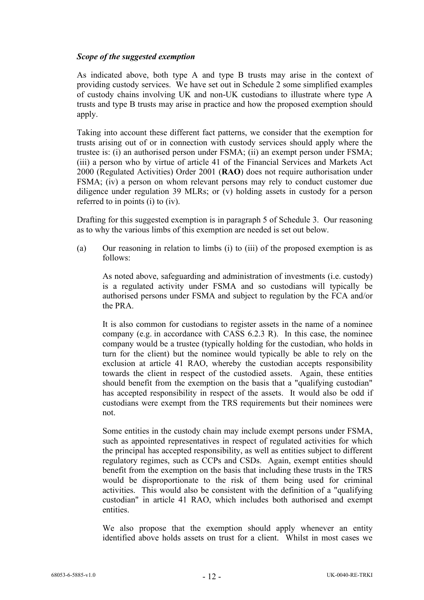### *Scope of the suggested exemption*

As indicated above, both type A and type B trusts may arise in the context of providing custody services. We have set out in [Schedule 2](#page-50-0) some simplified examples of custody chains involving UK and non-UK custodians to illustrate where type A trusts and type B trusts may arise in practice and how the proposed exemption should apply.

Taking into account these different fact patterns, we consider that the exemption for trusts arising out of or in connection with custody services should apply where the trustee is: (i) an authorised person under FSMA; (ii) an exempt person under FSMA; (iii) a person who by virtue of article 41 of the Financial Services and Markets Act 2000 (Regulated Activities) Order 2001 (**RAO**) does not require authorisation under FSMA; (iv) a person on whom relevant persons may rely to conduct customer due diligence under regulation 39 MLRs; or (v) holding assets in custody for a person referred to in points (i) to (iv).

Drafting for this suggested exemption is in paragraph [5](#page-52-0) of [Schedule 3.](#page-51-0) Our reasoning as to why the various limbs of this exemption are needed is set out below.

(a) Our reasoning in relation to limbs (i) to (iii) of the proposed exemption is as follows:

As noted above, safeguarding and administration of investments (i.e. custody) is a regulated activity under FSMA and so custodians will typically be authorised persons under FSMA and subject to regulation by the FCA and/or the PRA.

It is also common for custodians to register assets in the name of a nominee company (e.g. in accordance with CASS 6.2.3 R). In this case, the nominee company would be a trustee (typically holding for the custodian, who holds in turn for the client) but the nominee would typically be able to rely on the exclusion at article 41 RAO, whereby the custodian accepts responsibility towards the client in respect of the custodied assets. Again, these entities should benefit from the exemption on the basis that a "qualifying custodian" has accepted responsibility in respect of the assets. It would also be odd if custodians were exempt from the TRS requirements but their nominees were not.

Some entities in the custody chain may include exempt persons under FSMA, such as appointed representatives in respect of regulated activities for which the principal has accepted responsibility, as well as entities subject to different regulatory regimes, such as CCPs and CSDs. Again, exempt entities should benefit from the exemption on the basis that including these trusts in the TRS would be disproportionate to the risk of them being used for criminal activities. This would also be consistent with the definition of a "qualifying custodian" in article 41 RAO, which includes both authorised and exempt entities.

We also propose that the exemption should apply whenever an entity identified above holds assets on trust for a client. Whilst in most cases we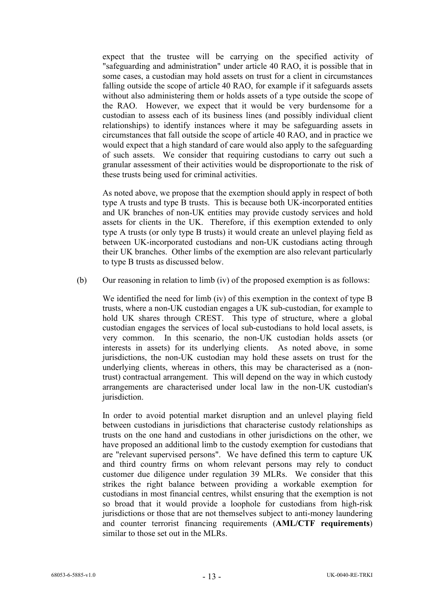expect that the trustee will be carrying on the specified activity of "safeguarding and administration" under article 40 RAO, it is possible that in some cases, a custodian may hold assets on trust for a client in circumstances falling outside the scope of article 40 RAO, for example if it safeguards assets without also administering them or holds assets of a type outside the scope of the RAO. However, we expect that it would be very burdensome for a custodian to assess each of its business lines (and possibly individual client relationships) to identify instances where it may be safeguarding assets in circumstances that fall outside the scope of article 40 RAO, and in practice we would expect that a high standard of care would also apply to the safeguarding of such assets. We consider that requiring custodians to carry out such a granular assessment of their activities would be disproportionate to the risk of these trusts being used for criminal activities.

As noted above, we propose that the exemption should apply in respect of both type A trusts and type B trusts. This is because both UK-incorporated entities and UK branches of non-UK entities may provide custody services and hold assets for clients in the UK. Therefore, if this exemption extended to only type A trusts (or only type B trusts) it would create an unlevel playing field as between UK-incorporated custodians and non-UK custodians acting through their UK branches. Other limbs of the exemption are also relevant particularly to type B trusts as discussed below.

(b) Our reasoning in relation to limb (iv) of the proposed exemption is as follows:

We identified the need for limb (iv) of this exemption in the context of type B trusts, where a non-UK custodian engages a UK sub-custodian, for example to hold UK shares through CREST. This type of structure, where a global custodian engages the services of local sub-custodians to hold local assets, is very common. In this scenario, the non-UK custodian holds assets (or interests in assets) for its underlying clients. As noted above, in some jurisdictions, the non-UK custodian may hold these assets on trust for the underlying clients, whereas in others, this may be characterised as a (nontrust) contractual arrangement. This will depend on the way in which custody arrangements are characterised under local law in the non-UK custodian's jurisdiction.

In order to avoid potential market disruption and an unlevel playing field between custodians in jurisdictions that characterise custody relationships as trusts on the one hand and custodians in other jurisdictions on the other, we have proposed an additional limb to the custody exemption for custodians that are "relevant supervised persons". We have defined this term to capture UK and third country firms on whom relevant persons may rely to conduct customer due diligence under regulation 39 MLRs. We consider that this strikes the right balance between providing a workable exemption for custodians in most financial centres, whilst ensuring that the exemption is not so broad that it would provide a loophole for custodians from high-risk jurisdictions or those that are not themselves subject to anti-money laundering and counter terrorist financing requirements (**AML/CTF requirements**) similar to those set out in the MLRs.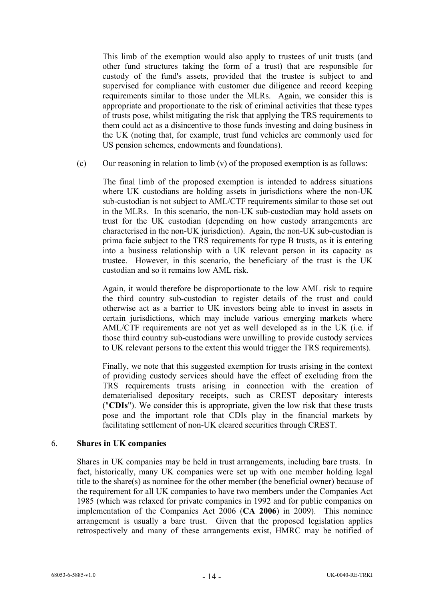This limb of the exemption would also apply to trustees of unit trusts (and other fund structures taking the form of a trust) that are responsible for custody of the fund's assets, provided that the trustee is subject to and supervised for compliance with customer due diligence and record keeping requirements similar to those under the MLRs. Again, we consider this is appropriate and proportionate to the risk of criminal activities that these types of trusts pose, whilst mitigating the risk that applying the TRS requirements to them could act as a disincentive to those funds investing and doing business in the UK (noting that, for example, trust fund vehicles are commonly used for US pension schemes, endowments and foundations).

(c) Our reasoning in relation to  $\lim_{y \to 0} f(y)$  of the proposed exemption is as follows:

The final limb of the proposed exemption is intended to address situations where UK custodians are holding assets in jurisdictions where the non-UK sub-custodian is not subject to AML/CTF requirements similar to those set out in the MLRs. In this scenario, the non-UK sub-custodian may hold assets on trust for the UK custodian (depending on how custody arrangements are characterised in the non-UK jurisdiction). Again, the non-UK sub-custodian is prima facie subject to the TRS requirements for type B trusts, as it is entering into a business relationship with a UK relevant person in its capacity as trustee. However, in this scenario, the beneficiary of the trust is the UK custodian and so it remains low AML risk.

Again, it would therefore be disproportionate to the low AML risk to require the third country sub-custodian to register details of the trust and could otherwise act as a barrier to UK investors being able to invest in assets in certain jurisdictions, which may include various emerging markets where AML/CTF requirements are not yet as well developed as in the UK (i.e. if those third country sub-custodians were unwilling to provide custody services to UK relevant persons to the extent this would trigger the TRS requirements).

Finally, we note that this suggested exemption for trusts arising in the context of providing custody services should have the effect of excluding from the TRS requirements trusts arising in connection with the creation of dematerialised depositary receipts, such as CREST depositary interests ("**CDIs**"). We consider this is appropriate, given the low risk that these trusts pose and the important role that CDIs play in the financial markets by facilitating settlement of non-UK cleared securities through CREST.

### <span id="page-13-0"></span>6. **Shares in UK companies**

Shares in UK companies may be held in trust arrangements, including bare trusts. In fact, historically, many UK companies were set up with one member holding legal title to the share(s) as nominee for the other member (the beneficial owner) because of the requirement for all UK companies to have two members under the Companies Act 1985 (which was relaxed for private companies in 1992 and for public companies on implementation of the Companies Act 2006 (**CA 2006**) in 2009). This nominee arrangement is usually a bare trust. Given that the proposed legislation applies retrospectively and many of these arrangements exist, HMRC may be notified of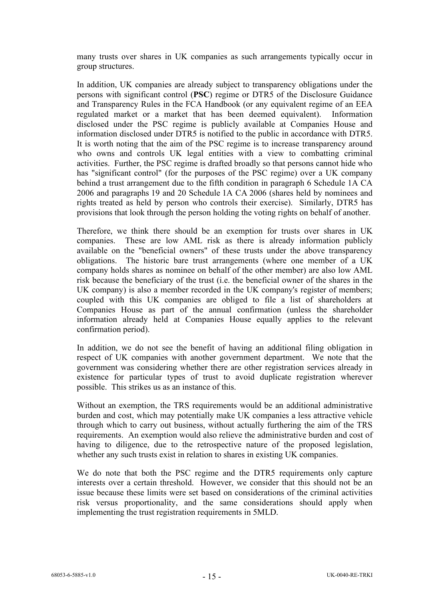many trusts over shares in UK companies as such arrangements typically occur in group structures.

In addition, UK companies are already subject to transparency obligations under the persons with significant control (**PSC**) regime or DTR5 of the Disclosure Guidance and Transparency Rules in the FCA Handbook (or any equivalent regime of an EEA regulated market or a market that has been deemed equivalent). Information disclosed under the PSC regime is publicly available at Companies House and information disclosed under DTR5 is notified to the public in accordance with DTR5. It is worth noting that the aim of the PSC regime is to increase transparency around who owns and controls UK legal entities with a view to combatting criminal activities. Further, the PSC regime is drafted broadly so that persons cannot hide who has "significant control" (for the purposes of the PSC regime) over a UK company behind a trust arrangement due to the fifth condition in paragraph 6 Schedule 1A CA 2006 and paragraphs 19 and 20 Schedule 1A CA 2006 (shares held by nominees and rights treated as held by person who controls their exercise). Similarly, DTR5 has provisions that look through the person holding the voting rights on behalf of another.

Therefore, we think there should be an exemption for trusts over shares in UK companies. These are low AML risk as there is already information publicly available on the "beneficial owners" of these trusts under the above transparency obligations. The historic bare trust arrangements (where one member of a UK company holds shares as nominee on behalf of the other member) are also low AML risk because the beneficiary of the trust (i.e. the beneficial owner of the shares in the UK company) is also a member recorded in the UK company's register of members; coupled with this UK companies are obliged to file a list of shareholders at Companies House as part of the annual confirmation (unless the shareholder information already held at Companies House equally applies to the relevant confirmation period).

In addition, we do not see the benefit of having an additional filing obligation in respect of UK companies with another government department. We note that the government was considering whether there are other registration services already in existence for particular types of trust to avoid duplicate registration wherever possible. This strikes us as an instance of this.

Without an exemption, the TRS requirements would be an additional administrative burden and cost, which may potentially make UK companies a less attractive vehicle through which to carry out business, without actually furthering the aim of the TRS requirements. An exemption would also relieve the administrative burden and cost of having to diligence, due to the retrospective nature of the proposed legislation, whether any such trusts exist in relation to shares in existing UK companies.

We do note that both the PSC regime and the DTR5 requirements only capture interests over a certain threshold. However, we consider that this should not be an issue because these limits were set based on considerations of the criminal activities risk versus proportionality, and the same considerations should apply when implementing the trust registration requirements in 5MLD.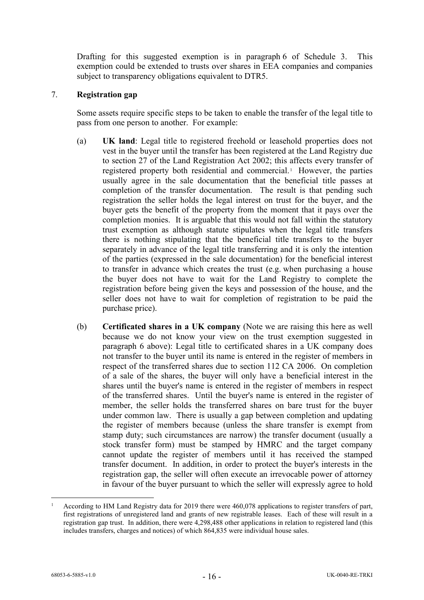Drafting for this suggested exemption is in paragraph [6](#page-52-1) of [Schedule 3.](#page-51-0) This exemption could be extended to trusts over shares in EEA companies and companies subject to transparency obligations equivalent to DTR5.

#### 7. **Registration gap**

Some assets require specific steps to be taken to enable the transfer of the legal title to pass from one person to another. For example:

- (a) **UK land**: Legal title to registered freehold or leasehold properties does not vest in the buyer until the transfer has been registered at the Land Registry due to section 27 of the Land Registration Act 2002; this affects every transfer of registered property both residential and commercial. [1](#page-15-0) However, the parties usually agree in the sale documentation that the beneficial title passes at completion of the transfer documentation. The result is that pending such registration the seller holds the legal interest on trust for the buyer, and the buyer gets the benefit of the property from the moment that it pays over the completion monies. It is arguable that this would not fall within the statutory trust exemption as although statute stipulates when the legal title transfers there is nothing stipulating that the beneficial title transfers to the buyer separately in advance of the legal title transferring and it is only the intention of the parties (expressed in the sale documentation) for the beneficial interest to transfer in advance which creates the trust (e.g. when purchasing a house the buyer does not have to wait for the Land Registry to complete the registration before being given the keys and possession of the house, and the seller does not have to wait for completion of registration to be paid the purchase price).
- <span id="page-15-1"></span>(b) **Certificated shares in a UK company** (Note we are raising this here as well because we do not know your view on the trust exemption suggested in paragraph [6](#page-13-0) above): Legal title to certificated shares in a UK company does not transfer to the buyer until its name is entered in the register of members in respect of the transferred shares due to section 112 CA 2006. On completion of a sale of the shares, the buyer will only have a beneficial interest in the shares until the buyer's name is entered in the register of members in respect of the transferred shares. Until the buyer's name is entered in the register of member, the seller holds the transferred shares on bare trust for the buyer under common law. There is usually a gap between completion and updating the register of members because (unless the share transfer is exempt from stamp duty; such circumstances are narrow) the transfer document (usually a stock transfer form) must be stamped by HMRC and the target company cannot update the register of members until it has received the stamped transfer document. In addition, in order to protect the buyer's interests in the registration gap, the seller will often execute an irrevocable power of attorney in favour of the buyer pursuant to which the seller will expressly agree to hold

<span id="page-15-0"></span><sup>1</sup> According to HM Land Registry data for 2019 there were 460,078 applications to register transfers of part, first registrations of unregistered land and grants of new registrable leases. Each of these will result in a registration gap trust. In addition, there were 4,298,488 other applications in relation to registered land (this includes transfers, charges and notices) of which 864,835 were individual house sales.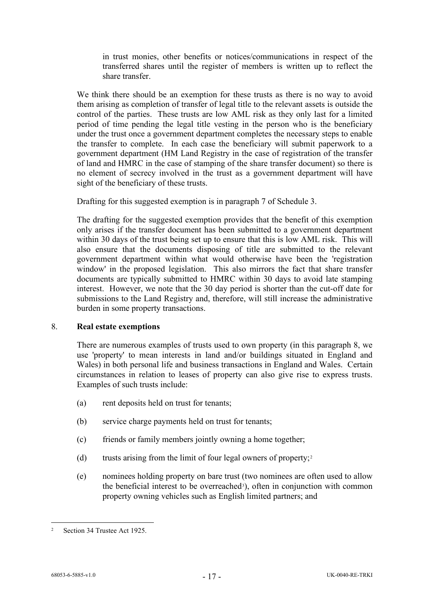in trust monies, other benefits or notices/communications in respect of the transferred shares until the register of members is written up to reflect the share transfer.

We think there should be an exemption for these trusts as there is no way to avoid them arising as completion of transfer of legal title to the relevant assets is outside the control of the parties. These trusts are low AML risk as they only last for a limited period of time pending the legal title vesting in the person who is the beneficiary under the trust once a government department completes the necessary steps to enable the transfer to complete. In each case the beneficiary will submit paperwork to a government department (HM Land Registry in the case of registration of the transfer of land and HMRC in the case of stamping of the share transfer document) so there is no element of secrecy involved in the trust as a government department will have sight of the beneficiary of these trusts.

Drafting for this suggested exemption is in paragraph [7](#page-53-0) of [Schedule 3.](#page-51-0)

The drafting for the suggested exemption provides that the benefit of this exemption only arises if the transfer document has been submitted to a government department within 30 days of the trust being set up to ensure that this is low AML risk. This will also ensure that the documents disposing of title are submitted to the relevant government department within what would otherwise have been the 'registration window' in the proposed legislation. This also mirrors the fact that share transfer documents are typically submitted to HMRC within 30 days to avoid late stamping interest. However, we note that the 30 day period is shorter than the cut-off date for submissions to the Land Registry and, therefore, will still increase the administrative burden in some property transactions.

### 8. **Real estate exemptions**

There are numerous examples of trusts used to own property (in this paragraph 8, we use 'property' to mean interests in land and/or buildings situated in England and Wales) in both personal life and business transactions in England and Wales. Certain circumstances in relation to leases of property can also give rise to express trusts. Examples of such trusts include:

- (a) rent deposits held on trust for tenants;
- (b) service charge payments held on trust for tenants;
- (c) friends or family members jointly owning a home together;
- (d) trusts arising from the limit of four legal owners of property;<sup>[2](#page-16-0)</sup>
- (e) nominees holding property on bare trust (two nominees are often used to allow the beneficial interest to be overreached<sup>[3](#page-17-0)</sup>), often in conjunction with common property owning vehicles such as English limited partners; and

<span id="page-16-0"></span><sup>2</sup> Section 34 Trustee Act 1925.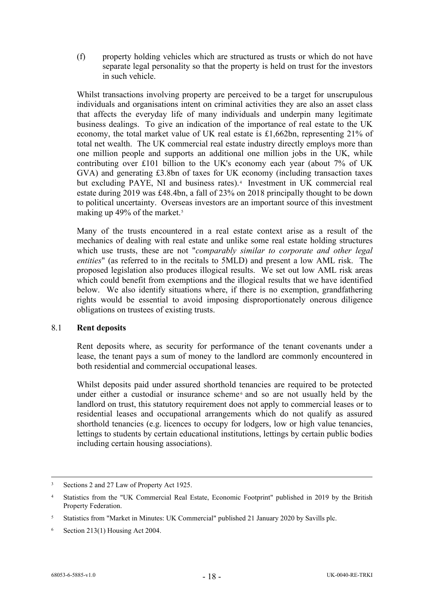(f) property holding vehicles which are structured as trusts or which do not have separate legal personality so that the property is held on trust for the investors in such vehicle.

Whilst transactions involving property are perceived to be a target for unscrupulous individuals and organisations intent on criminal activities they are also an asset class that affects the everyday life of many individuals and underpin many legitimate business dealings. To give an indication of the importance of real estate to the UK economy, the total market value of UK real estate is £1,662bn, representing 21% of total net wealth. The UK commercial real estate industry directly employs more than one million people and supports an additional one million jobs in the UK, while contributing over £101 billion to the UK's economy each year (about 7% of UK GVA) and generating £3.8bn of taxes for UK economy (including transaction taxes but excluding PAYE, NI and business rates).<sup>[4](#page-17-1)</sup> Investment in UK commercial real estate during 2019 was £48.4bn, a fall of 23% on 2018 principally thought to be down to political uncertainty. Overseas investors are an important source of this investment making up 49% of the market.<sup>[5](#page-17-2)</sup>

Many of the trusts encountered in a real estate context arise as a result of the mechanics of dealing with real estate and unlike some real estate holding structures which use trusts, these are not "*comparably similar to corporate and other legal entities*" (as referred to in the recitals to 5MLD) and present a low AML risk. The proposed legislation also produces illogical results. We set out low AML risk areas which could benefit from exemptions and the illogical results that we have identified below. We also identify situations where, if there is no exemption, grandfathering rights would be essential to avoid imposing disproportionately onerous diligence obligations on trustees of existing trusts.

### 8.1 **Rent deposits**

Rent deposits where, as security for performance of the tenant covenants under a lease, the tenant pays a sum of money to the landlord are commonly encountered in both residential and commercial occupational leases.

Whilst deposits paid under assured shorthold tenancies are required to be protected under either a custodial or insurance scheme<sup>[6](#page-17-3)</sup> and so are not usually held by the landlord on trust, this statutory requirement does not apply to commercial leases or to residential leases and occupational arrangements which do not qualify as assured shorthold tenancies (e.g. licences to occupy for lodgers, low or high value tenancies, lettings to students by certain educational institutions, lettings by certain public bodies including certain housing associations).

<span id="page-17-0"></span><sup>&</sup>lt;sup>3</sup> Sections 2 and 27 Law of Property Act 1925.

<span id="page-17-1"></span><sup>4</sup> Statistics from the "UK Commercial Real Estate, Economic Footprint" published in 2019 by the British Property Federation.

<span id="page-17-2"></span><sup>5</sup> Statistics from "Market in Minutes: UK Commercial" published 21 January 2020 by Savills plc.

<span id="page-17-3"></span> $6$  Section 213(1) Housing Act 2004.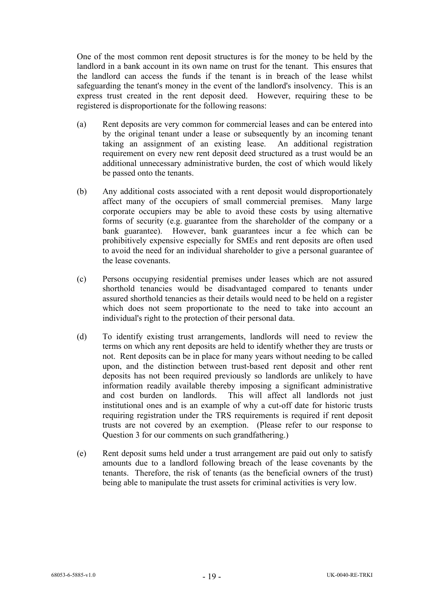One of the most common rent deposit structures is for the money to be held by the landlord in a bank account in its own name on trust for the tenant. This ensures that the landlord can access the funds if the tenant is in breach of the lease whilst safeguarding the tenant's money in the event of the landlord's insolvency. This is an express trust created in the rent deposit deed. However, requiring these to be registered is disproportionate for the following reasons:

- (a) Rent deposits are very common for commercial leases and can be entered into by the original tenant under a lease or subsequently by an incoming tenant taking an assignment of an existing lease. An additional registration requirement on every new rent deposit deed structured as a trust would be an additional unnecessary administrative burden, the cost of which would likely be passed onto the tenants.
- (b) Any additional costs associated with a rent deposit would disproportionately affect many of the occupiers of small commercial premises. Many large corporate occupiers may be able to avoid these costs by using alternative forms of security (e.g. guarantee from the shareholder of the company or a bank guarantee). However, bank guarantees incur a fee which can be prohibitively expensive especially for SMEs and rent deposits are often used to avoid the need for an individual shareholder to give a personal guarantee of the lease covenants.
- (c) Persons occupying residential premises under leases which are not assured shorthold tenancies would be disadvantaged compared to tenants under assured shorthold tenancies as their details would need to be held on a register which does not seem proportionate to the need to take into account an individual's right to the protection of their personal data.
- (d) To identify existing trust arrangements, landlords will need to review the terms on which any rent deposits are held to identify whether they are trusts or not. Rent deposits can be in place for many years without needing to be called upon, and the distinction between trust-based rent deposit and other rent deposits has not been required previously so landlords are unlikely to have information readily available thereby imposing a significant administrative and cost burden on landlords. This will affect all landlords not just institutional ones and is an example of why a cut-off date for historic trusts requiring registration under the TRS requirements is required if rent deposit trusts are not covered by an exemption. (Please refer to our response to Question 3 for our comments on such grandfathering.)
- (e) Rent deposit sums held under a trust arrangement are paid out only to satisfy amounts due to a landlord following breach of the lease covenants by the tenants. Therefore, the risk of tenants (as the beneficial owners of the trust) being able to manipulate the trust assets for criminal activities is very low.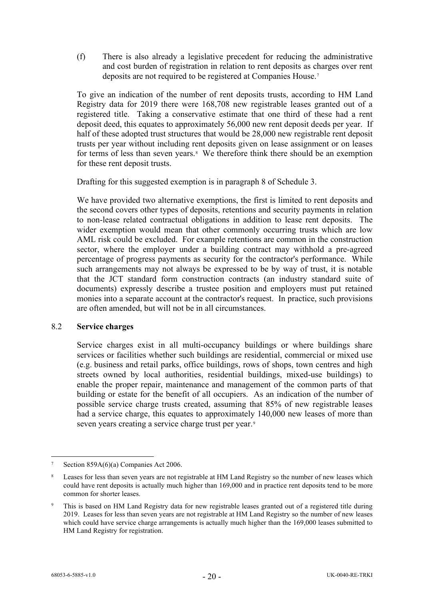(f) There is also already a legislative precedent for reducing the administrative and cost burden of registration in relation to rent deposits as charges over rent deposits are not required to be registered at Companies House.[7](#page-19-0)

To give an indication of the number of rent deposits trusts, according to HM Land Registry data for 2019 there were 168,708 new registrable leases granted out of a registered title. Taking a conservative estimate that one third of these had a rent deposit deed, this equates to approximately 56,000 new rent deposit deeds per year. If half of these adopted trust structures that would be 28,000 new registrable rent deposit trusts per year without including rent deposits given on lease assignment or on leases for terms of less than seven years.<sup>8</sup> We therefore think there should be an exemption for these rent deposit trusts.

Drafting for this suggested exemption is in paragraph 8 of [Schedule 3.](#page-51-0)

We have provided two alternative exemptions, the first is limited to rent deposits and the second covers other types of deposits, retentions and security payments in relation to non-lease related contractual obligations in addition to lease rent deposits. The wider exemption would mean that other commonly occurring trusts which are low AML risk could be excluded. For example retentions are common in the construction sector, where the employer under a building contract may withhold a pre-agreed percentage of progress payments as security for the contractor's performance. While such arrangements may not always be expressed to be by way of trust, it is notable that the JCT standard form construction contracts (an industry standard suite of documents) expressly describe a trustee position and employers must put retained monies into a separate account at the contractor's request. In practice, such provisions are often amended, but will not be in all circumstances.

### 8.2 **Service charges**

Service charges exist in all multi-occupancy buildings or where buildings share services or facilities whether such buildings are residential, commercial or mixed use (e.g. business and retail parks, office buildings, rows of shops, town centres and high streets owned by local authorities, residential buildings, mixed-use buildings) to enable the proper repair, maintenance and management of the common parts of that building or estate for the benefit of all occupiers. As an indication of the number of possible service charge trusts created, assuming that 85% of new registrable leases had a service charge, this equates to approximately 140,000 new leases of more than seven years creating a service charge trust per year.<sup>[9](#page-19-2)</sup>

<span id="page-19-0"></span>Section 859A(6)(a) Companies Act 2006.

<span id="page-19-1"></span><sup>&</sup>lt;sup>8</sup> Leases for less than seven years are not registrable at HM Land Registry so the number of new leases which could have rent deposits is actually much higher than 169,000 and in practice rent deposits tend to be more common for shorter leases.

<span id="page-19-2"></span><sup>9</sup> This is based on HM Land Registry data for new registrable leases granted out of a registered title during 2019. Leases for less than seven years are not registrable at HM Land Registry so the number of new leases which could have service charge arrangements is actually much higher than the 169,000 leases submitted to HM Land Registry for registration.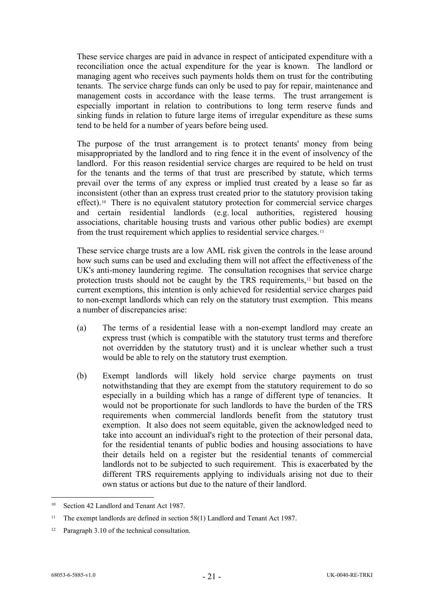These service charges are paid in advance in respect of anticipated expenditure with a reconciliation once the actual expenditure for the year is known. The landlord or managing agent who receives such payments holds them on trust for the contributing tenants. The service charge funds can only be used to pay for repair, maintenance and management costs in accordance with the lease terms. The trust arrangement is especially important in relation to contributions to long term reserve funds and sinking funds in relation to future large items of irregular expenditure as these sums tend to be held for a number of years before being used.

The purpose of the trust arrangement is to protect tenants' money from being misappropriated by the landlord and to ring fence it in the event of insolvency of the landlord. For this reason residential service charges are required to be held on trust for the tenants and the terms of that trust are prescribed by statute, which terms prevail over the terms of any express or implied trust created by a lease so far as inconsistent (other than an express trust created prior to the statutory provision taking effect).[10](#page-20-0) There is no equivalent statutory protection for commercial service charges and certain residential landlords (e.g. local authorities, registered housing associations, charitable housing trusts and various other public bodies) are exempt from the trust requirement which applies to residential service charges.<sup>[11](#page-20-1)</sup>

These service charge trusts are a low AML risk given the controls in the lease around how such sums can be used and excluding them will not affect the effectiveness of the UK's anti-money laundering regime. The consultation recognises that service charge protection trusts should not be caught by the TRS requirements,[12](#page-20-2) but based on the current exemptions, this intention is only achieved for residential service charges paid to non-exempt landlords which can rely on the statutory trust exemption. This means a number of discrepancies arise:

- (a) The terms of a residential lease with a non-exempt landlord may create an express trust (which is compatible with the statutory trust terms and therefore not overridden by the statutory trust) and it is unclear whether such a trust would be able to rely on the statutory trust exemption.
- (b) Exempt landlords will likely hold service charge payments on trust notwithstanding that they are exempt from the statutory requirement to do so especially in a building which has a range of different type of tenancies. It would not be proportionate for such landlords to have the burden of the TRS requirements when commercial landlords benefit from the statutory trust exemption. It also does not seem equitable, given the acknowledged need to take into account an individual's right to the protection of their personal data, for the residential tenants of public bodies and housing associations to have their details held on a register but the residential tenants of commercial landlords not to be subjected to such requirement. This is exacerbated by the different TRS requirements applying to individuals arising not due to their own status or actions but due to the nature of their landlord.

<span id="page-20-0"></span><sup>&</sup>lt;sup>10</sup> Section 42 Landlord and Tenant Act 1987.

<span id="page-20-1"></span><sup>&</sup>lt;sup>11</sup> The exempt landlords are defined in section 58(1) Landlord and Tenant Act 1987.

<span id="page-20-2"></span><sup>&</sup>lt;sup>12</sup> Paragraph 3.10 of the technical consultation.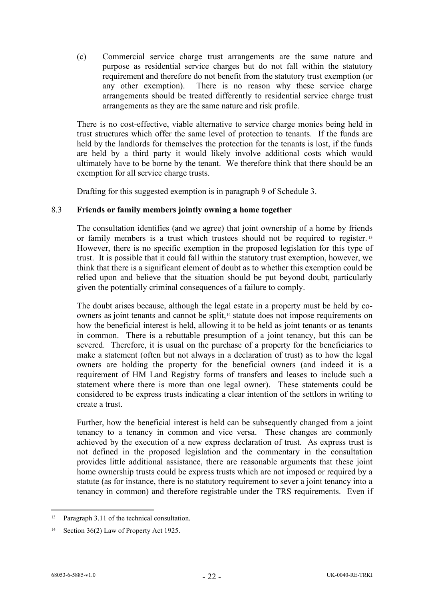(c) Commercial service charge trust arrangements are the same nature and purpose as residential service charges but do not fall within the statutory requirement and therefore do not benefit from the statutory trust exemption (or any other exemption). There is no reason why these service charge arrangements should be treated differently to residential service charge trust arrangements as they are the same nature and risk profile.

There is no cost-effective, viable alternative to service charge monies being held in trust structures which offer the same level of protection to tenants. If the funds are held by the landlords for themselves the protection for the tenants is lost, if the funds are held by a third party it would likely involve additional costs which would ultimately have to be borne by the tenant. We therefore think that there should be an exemption for all service charge trusts.

Drafting for this suggested exemption is in paragraph [9](#page-53-1) of [Schedule 3.](#page-51-0)

## 8.3 **Friends or family members jointly owning a home together**

The consultation identifies (and we agree) that joint ownership of a home by friends or family members is a trust which trustees should not be required to register. [13](#page-21-0) However, there is no specific exemption in the proposed legislation for this type of trust. It is possible that it could fall within the statutory trust exemption, however, we think that there is a significant element of doubt as to whether this exemption could be relied upon and believe that the situation should be put beyond doubt, particularly given the potentially criminal consequences of a failure to comply.

The doubt arises because, although the legal estate in a property must be held by co-owners as joint tenants and cannot be split,<sup>[14](#page-21-1)</sup> statute does not impose requirements on how the beneficial interest is held, allowing it to be held as joint tenants or as tenants in common. There is a rebuttable presumption of a joint tenancy, but this can be severed. Therefore, it is usual on the purchase of a property for the beneficiaries to make a statement (often but not always in a declaration of trust) as to how the legal owners are holding the property for the beneficial owners (and indeed it is a requirement of HM Land Registry forms of transfers and leases to include such a statement where there is more than one legal owner). These statements could be considered to be express trusts indicating a clear intention of the settlors in writing to create a trust.

Further, how the beneficial interest is held can be subsequently changed from a joint tenancy to a tenancy in common and vice versa. These changes are commonly achieved by the execution of a new express declaration of trust. As express trust is not defined in the proposed legislation and the commentary in the consultation provides little additional assistance, there are reasonable arguments that these joint home ownership trusts could be express trusts which are not imposed or required by a statute (as for instance, there is no statutory requirement to sever a joint tenancy into a tenancy in common) and therefore registrable under the TRS requirements. Even if

<span id="page-21-0"></span><sup>&</sup>lt;sup>13</sup> Paragraph 3.11 of the technical consultation.

<span id="page-21-1"></span><sup>&</sup>lt;sup>14</sup> Section 36(2) Law of Property Act 1925.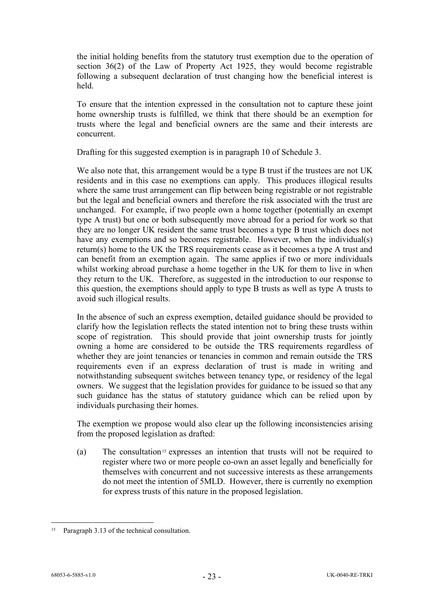the initial holding benefits from the statutory trust exemption due to the operation of section 36(2) of the Law of Property Act 1925, they would become registrable following a subsequent declaration of trust changing how the beneficial interest is held.

To ensure that the intention expressed in the consultation not to capture these joint home ownership trusts is fulfilled, we think that there should be an exemption for trusts where the legal and beneficial owners are the same and their interests are concurrent.

Drafting for this suggested exemption is in paragraph [10](#page-53-2) of [Schedule 3.](#page-51-0)

We also note that, this arrangement would be a type B trust if the trustees are not UK residents and in this case no exemptions can apply. This produces illogical results where the same trust arrangement can flip between being registrable or not registrable but the legal and beneficial owners and therefore the risk associated with the trust are unchanged. For example, if two people own a home together (potentially an exempt type A trust) but one or both subsequently move abroad for a period for work so that they are no longer UK resident the same trust becomes a type B trust which does not have any exemptions and so becomes registrable. However, when the individual(s) return(s) home to the UK the TRS requirements cease as it becomes a type A trust and can benefit from an exemption again. The same applies if two or more individuals whilst working abroad purchase a home together in the UK for them to live in when they return to the UK. Therefore, as suggested in the introduction to our response to this question, the exemptions should apply to type B trusts as well as type A trusts to avoid such illogical results.

In the absence of such an express exemption, detailed guidance should be provided to clarify how the legislation reflects the stated intention not to bring these trusts within scope of registration. This should provide that joint ownership trusts for jointly owning a home are considered to be outside the TRS requirements regardless of whether they are joint tenancies or tenancies in common and remain outside the TRS requirements even if an express declaration of trust is made in writing and notwithstanding subsequent switches between tenancy type, or residency of the legal owners. We suggest that the legislation provides for guidance to be issued so that any such guidance has the status of statutory guidance which can be relied upon by individuals purchasing their homes.

The exemption we propose would also clear up the following inconsistencies arising from the proposed legislation as drafted:

(a) The consultation<sup>[15](#page-22-0)</sup> expresses an intention that trusts will not be required to register where two or more people co-own an asset legally and beneficially for themselves with concurrent and not successive interests as these arrangements do not meet the intention of 5MLD. However, there is currently no exemption for express trusts of this nature in the proposed legislation.

<span id="page-22-0"></span><sup>&</sup>lt;sup>15</sup> Paragraph 3.13 of the technical consultation.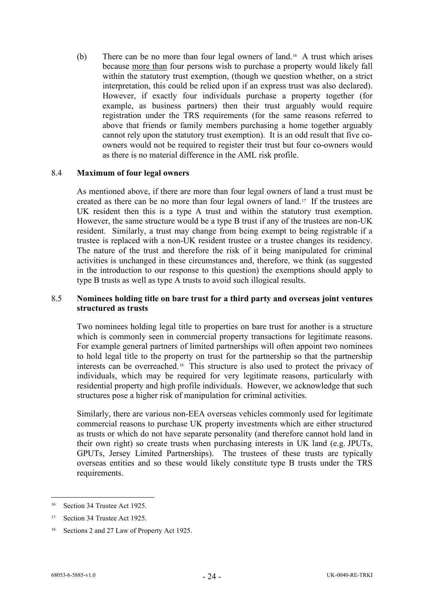(b) There can be no more than four legal owners of land.[16](#page-23-0) A trust which arises because more than four persons wish to purchase a property would likely fall within the statutory trust exemption, (though we question whether, on a strict interpretation, this could be relied upon if an express trust was also declared). However, if exactly four individuals purchase a property together (for example, as business partners) then their trust arguably would require registration under the TRS requirements (for the same reasons referred to above that friends or family members purchasing a home together arguably cannot rely upon the statutory trust exemption). It is an odd result that five coowners would not be required to register their trust but four co-owners would as there is no material difference in the AML risk profile.

### 8.4 **Maximum of four legal owners**

As mentioned above, if there are more than four legal owners of land a trust must be created as there can be no more than four legal owners of land.[17](#page-23-1) If the trustees are UK resident then this is a type A trust and within the statutory trust exemption. However, the same structure would be a type B trust if any of the trustees are non-UK resident. Similarly, a trust may change from being exempt to being registrable if a trustee is replaced with a non-UK resident trustee or a trustee changes its residency. The nature of the trust and therefore the risk of it being manipulated for criminal activities is unchanged in these circumstances and, therefore, we think (as suggested in the introduction to our response to this question) the exemptions should apply to type B trusts as well as type A trusts to avoid such illogical results.

### 8.5 **Nominees holding title on bare trust for a third party and overseas joint ventures structured as trusts**

Two nominees holding legal title to properties on bare trust for another is a structure which is commonly seen in commercial property transactions for legitimate reasons. For example general partners of limited partnerships will often appoint two nominees to hold legal title to the property on trust for the partnership so that the partnership interests can be overreached.[18](#page-23-2) This structure is also used to protect the privacy of individuals, which may be required for very legitimate reasons, particularly with residential property and high profile individuals. However, we acknowledge that such structures pose a higher risk of manipulation for criminal activities.

Similarly, there are various non-EEA overseas vehicles commonly used for legitimate commercial reasons to purchase UK property investments which are either structured as trusts or which do not have separate personality (and therefore cannot hold land in their own right) so create trusts when purchasing interests in UK land (e.g. JPUTs, GPUTs, Jersey Limited Partnerships). The trustees of these trusts are typically overseas entities and so these would likely constitute type B trusts under the TRS requirements.

<span id="page-23-0"></span><sup>16</sup> Section 34 Trustee Act 1925.

<span id="page-23-1"></span><sup>17</sup> Section 34 Trustee Act 1925.

<span id="page-23-2"></span><sup>&</sup>lt;sup>18</sup> Sections 2 and 27 Law of Property Act 1925.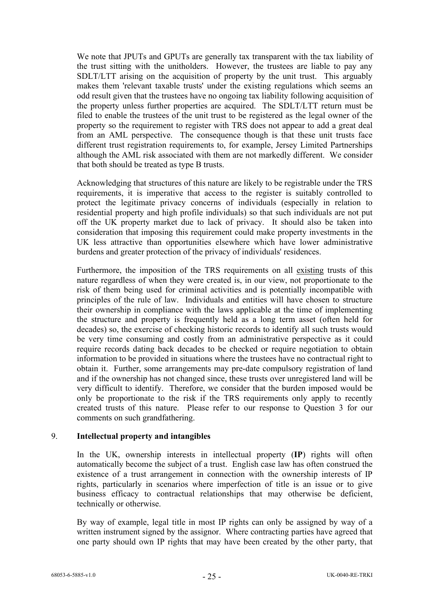We note that JPUTs and GPUTs are generally tax transparent with the tax liability of the trust sitting with the unitholders. However, the trustees are liable to pay any SDLT/LTT arising on the acquisition of property by the unit trust. This arguably makes them 'relevant taxable trusts' under the existing regulations which seems an odd result given that the trustees have no ongoing tax liability following acquisition of the property unless further properties are acquired. The SDLT/LTT return must be filed to enable the trustees of the unit trust to be registered as the legal owner of the property so the requirement to register with TRS does not appear to add a great deal from an AML perspective. The consequence though is that these unit trusts face different trust registration requirements to, for example, Jersey Limited Partnerships although the AML risk associated with them are not markedly different. We consider that both should be treated as type B trusts.

Acknowledging that structures of this nature are likely to be registrable under the TRS requirements, it is imperative that access to the register is suitably controlled to protect the legitimate privacy concerns of individuals (especially in relation to residential property and high profile individuals) so that such individuals are not put off the UK property market due to lack of privacy. It should also be taken into consideration that imposing this requirement could make property investments in the UK less attractive than opportunities elsewhere which have lower administrative burdens and greater protection of the privacy of individuals' residences.

Furthermore, the imposition of the TRS requirements on all existing trusts of this nature regardless of when they were created is, in our view, not proportionate to the risk of them being used for criminal activities and is potentially incompatible with principles of the rule of law. Individuals and entities will have chosen to structure their ownership in compliance with the laws applicable at the time of implementing the structure and property is frequently held as a long term asset (often held for decades) so, the exercise of checking historic records to identify all such trusts would be very time consuming and costly from an administrative perspective as it could require records dating back decades to be checked or require negotiation to obtain information to be provided in situations where the trustees have no contractual right to obtain it. Further, some arrangements may pre-date compulsory registration of land and if the ownership has not changed since, these trusts over unregistered land will be very difficult to identify. Therefore, we consider that the burden imposed would be only be proportionate to the risk if the TRS requirements only apply to recently created trusts of this nature. Please refer to our response to Question 3 for our comments on such grandfathering.

### 9. **Intellectual property and intangibles**

In the UK, ownership interests in intellectual property (**IP**) rights will often automatically become the subject of a trust. English case law has often construed the existence of a trust arrangement in connection with the ownership interests of IP rights, particularly in scenarios where imperfection of title is an issue or to give business efficacy to contractual relationships that may otherwise be deficient, technically or otherwise.

By way of example, legal title in most IP rights can only be assigned by way of a written instrument signed by the assignor. Where contracting parties have agreed that one party should own IP rights that may have been created by the other party, that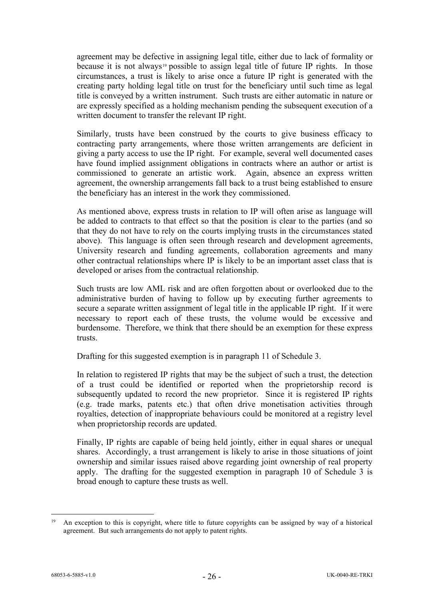agreement may be defective in assigning legal title, either due to lack of formality or because it is not always<sup>[19](#page-25-0)</sup> possible to assign legal title of future IP rights. In those circumstances, a trust is likely to arise once a future IP right is generated with the creating party holding legal title on trust for the beneficiary until such time as legal title is conveyed by a written instrument. Such trusts are either automatic in nature or are expressly specified as a holding mechanism pending the subsequent execution of a written document to transfer the relevant IP right.

Similarly, trusts have been construed by the courts to give business efficacy to contracting party arrangements, where those written arrangements are deficient in giving a party access to use the IP right. For example, several well documented cases have found implied assignment obligations in contracts where an author or artist is commissioned to generate an artistic work. Again, absence an express written agreement, the ownership arrangements fall back to a trust being established to ensure the beneficiary has an interest in the work they commissioned.

As mentioned above, express trusts in relation to IP will often arise as language will be added to contracts to that effect so that the position is clear to the parties (and so that they do not have to rely on the courts implying trusts in the circumstances stated above). This language is often seen through research and development agreements, University research and funding agreements, collaboration agreements and many other contractual relationships where IP is likely to be an important asset class that is developed or arises from the contractual relationship.

Such trusts are low AML risk and are often forgotten about or overlooked due to the administrative burden of having to follow up by executing further agreements to secure a separate written assignment of legal title in the applicable IP right. If it were necessary to report each of these trusts, the volume would be excessive and burdensome. Therefore, we think that there should be an exemption for these express trusts.

Drafting for this suggested exemption is in paragraph 11 of [Schedule 3.](#page-51-0)

In relation to registered IP rights that may be the subject of such a trust, the detection of a trust could be identified or reported when the proprietorship record is subsequently updated to record the new proprietor. Since it is registered IP rights (e.g. trade marks, patents etc.) that often drive monetisation activities through royalties, detection of inappropriate behaviours could be monitored at a registry level when proprietorship records are updated.

Finally, IP rights are capable of being held jointly, either in equal shares or unequal shares. Accordingly, a trust arrangement is likely to arise in those situations of joint ownership and similar issues raised above regarding joint ownership of real property apply. The drafting for the suggested exemption in paragraph 10 of [Schedule 3](#page-51-0) is broad enough to capture these trusts as well.

<span id="page-25-0"></span><sup>&</sup>lt;sup>19</sup> An exception to this is copyright, where title to future copyrights can be assigned by way of a historical agreement. But such arrangements do not apply to patent rights.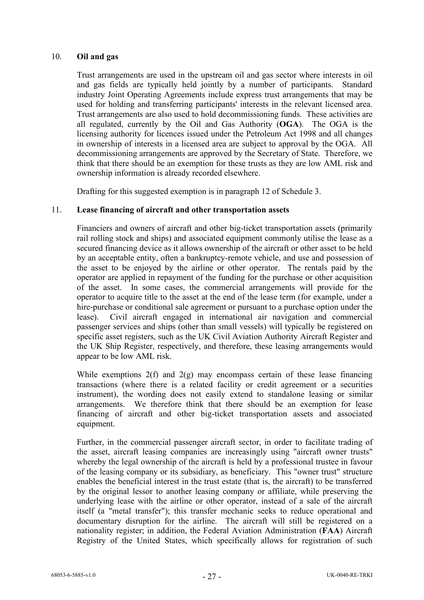### 10. **Oil and gas**

Trust arrangements are used in the upstream oil and gas sector where interests in oil and gas fields are typically held jointly by a number of participants. Standard industry Joint Operating Agreements include express trust arrangements that may be used for holding and transferring participants' interests in the relevant licensed area. Trust arrangements are also used to hold decommissioning funds. These activities are all regulated, currently by the Oil and Gas Authority (**OGA**). The OGA is the licensing authority for licences issued under the Petroleum Act 1998 and all changes in ownership of interests in a licensed area are subject to approval by the OGA. All decommissioning arrangements are approved by the Secretary of State. Therefore, we think that there should be an exemption for these trusts as they are low AML risk and ownership information is already recorded elsewhere.

Drafting for this suggested exemption is in paragraph 12 of [Schedule 3.](#page-51-0)

#### 11. **Lease financing of aircraft and other transportation assets**

Financiers and owners of aircraft and other big-ticket transportation assets (primarily rail rolling stock and ships) and associated equipment commonly utilise the lease as a secured financing device as it allows ownership of the aircraft or other asset to be held by an acceptable entity, often a bankruptcy-remote vehicle, and use and possession of the asset to be enjoyed by the airline or other operator. The rentals paid by the operator are applied in repayment of the funding for the purchase or other acquisition of the asset. In some cases, the commercial arrangements will provide for the operator to acquire title to the asset at the end of the lease term (for example, under a hire-purchase or conditional sale agreement or pursuant to a purchase option under the lease). Civil aircraft engaged in international air navigation and commercial passenger services and ships (other than small vessels) will typically be registered on specific asset registers, such as the UK Civil Aviation Authority Aircraft Register and the UK Ship Register, respectively, and therefore, these leasing arrangements would appear to be low AML risk.

While exemptions  $2(f)$  and  $2(g)$  may encompass certain of these lease financing transactions (where there is a related facility or credit agreement or a securities instrument), the wording does not easily extend to standalone leasing or similar arrangements. We therefore think that there should be an exemption for lease financing of aircraft and other big-ticket transportation assets and associated equipment.

Further, in the commercial passenger aircraft sector, in order to facilitate trading of the asset, aircraft leasing companies are increasingly using "aircraft owner trusts" whereby the legal ownership of the aircraft is held by a professional trustee in favour of the leasing company or its subsidiary, as beneficiary. This "owner trust" structure enables the beneficial interest in the trust estate (that is, the aircraft) to be transferred by the original lessor to another leasing company or affiliate, while preserving the underlying lease with the airline or other operator, instead of a sale of the aircraft itself (a "metal transfer"); this transfer mechanic seeks to reduce operational and documentary disruption for the airline. The aircraft will still be registered on a nationality register; in addition, the Federal Aviation Administration (**FAA**) Aircraft Registry of the United States, which specifically allows for registration of such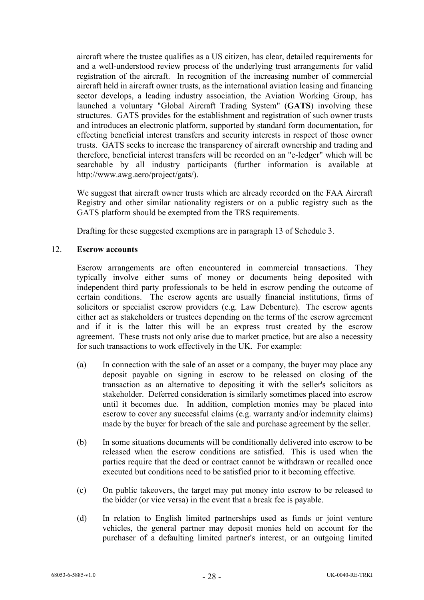aircraft where the trustee qualifies as a US citizen, has clear, detailed requirements for and a well-understood review process of the underlying trust arrangements for valid registration of the aircraft. In recognition of the increasing number of commercial aircraft held in aircraft owner trusts, as the international aviation leasing and financing sector develops, a leading industry association, the Aviation Working Group, has launched a voluntary "Global Aircraft Trading System" (**GATS**) involving these structures. GATS provides for the establishment and registration of such owner trusts and introduces an electronic platform, supported by standard form documentation, for effecting beneficial interest transfers and security interests in respect of those owner trusts. GATS seeks to increase the transparency of aircraft ownership and trading and therefore, beneficial interest transfers will be recorded on an "e-ledger" which will be searchable by all industry participants (further information is available at http://www.awg.aero/project/gats/).

We suggest that aircraft owner trusts which are already recorded on the FAA Aircraft Registry and other similar nationality registers or on a public registry such as the GATS platform should be exempted from the TRS requirements.

Drafting for these suggested exemptions are in paragraph [13](#page-54-0) of [Schedule 3.](#page-51-0)

### 12. **Escrow accounts**

Escrow arrangements are often encountered in commercial transactions. They typically involve either sums of money or documents being deposited with independent third party professionals to be held in escrow pending the outcome of certain conditions. The escrow agents are usually financial institutions, firms of solicitors or specialist escrow providers (e.g. Law Debenture). The escrow agents either act as stakeholders or trustees depending on the terms of the escrow agreement and if it is the latter this will be an express trust created by the escrow agreement. These trusts not only arise due to market practice, but are also a necessity for such transactions to work effectively in the UK. For example:

- (a) In connection with the sale of an asset or a company, the buyer may place any deposit payable on signing in escrow to be released on closing of the transaction as an alternative to depositing it with the seller's solicitors as stakeholder. Deferred consideration is similarly sometimes placed into escrow until it becomes due. In addition, completion monies may be placed into escrow to cover any successful claims (e.g. warranty and/or indemnity claims) made by the buyer for breach of the sale and purchase agreement by the seller.
- (b) In some situations documents will be conditionally delivered into escrow to be released when the escrow conditions are satisfied. This is used when the parties require that the deed or contract cannot be withdrawn or recalled once executed but conditions need to be satisfied prior to it becoming effective.
- (c) On public takeovers, the target may put money into escrow to be released to the bidder (or vice versa) in the event that a break fee is payable.
- (d) In relation to English limited partnerships used as funds or joint venture vehicles, the general partner may deposit monies held on account for the purchaser of a defaulting limited partner's interest, or an outgoing limited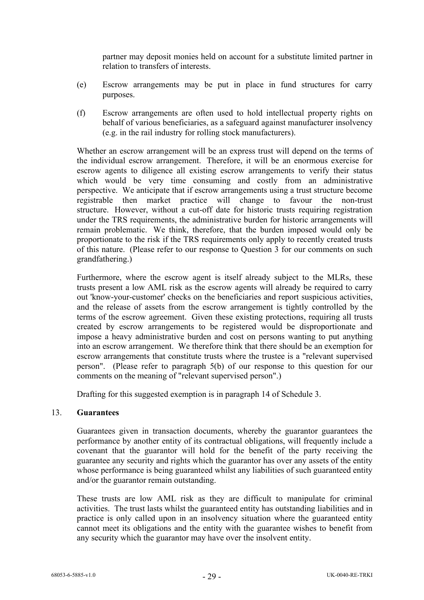partner may deposit monies held on account for a substitute limited partner in relation to transfers of interests.

- (e) Escrow arrangements may be put in place in fund structures for carry purposes.
- (f) Escrow arrangements are often used to hold intellectual property rights on behalf of various beneficiaries, as a safeguard against manufacturer insolvency (e.g. in the rail industry for rolling stock manufacturers).

Whether an escrow arrangement will be an express trust will depend on the terms of the individual escrow arrangement. Therefore, it will be an enormous exercise for escrow agents to diligence all existing escrow arrangements to verify their status which would be very time consuming and costly from an administrative perspective. We anticipate that if escrow arrangements using a trust structure become registrable then market practice will change to favour the non-trust structure. However, without a cut-off date for historic trusts requiring registration under the TRS requirements, the administrative burden for historic arrangements will remain problematic. We think, therefore, that the burden imposed would only be proportionate to the risk if the TRS requirements only apply to recently created trusts of this nature. (Please refer to our response to Question 3 for our comments on such grandfathering.)

Furthermore, where the escrow agent is itself already subject to the MLRs, these trusts present a low AML risk as the escrow agents will already be required to carry out 'know-your-customer' checks on the beneficiaries and report suspicious activities, and the release of assets from the escrow arrangement is tightly controlled by the terms of the escrow agreement. Given these existing protections, requiring all trusts created by escrow arrangements to be registered would be disproportionate and impose a heavy administrative burden and cost on persons wanting to put anything into an escrow arrangement. We therefore think that there should be an exemption for escrow arrangements that constitute trusts where the trustee is a "relevant supervised person". (Please refer to paragraph 5(b) of our response to this question for our comments on the meaning of "relevant supervised person".)

Drafting for this suggested exemption is in paragraph [14](#page-55-0) of [Schedule 3.](#page-51-0)

### 13. **Guarantees**

Guarantees given in transaction documents, whereby the guarantor guarantees the performance by another entity of its contractual obligations, will frequently include a covenant that the guarantor will hold for the benefit of the party receiving the guarantee any security and rights which the guarantor has over any assets of the entity whose performance is being guaranteed whilst any liabilities of such guaranteed entity and/or the guarantor remain outstanding.

These trusts are low AML risk as they are difficult to manipulate for criminal activities. The trust lasts whilst the guaranteed entity has outstanding liabilities and in practice is only called upon in an insolvency situation where the guaranteed entity cannot meet its obligations and the entity with the guarantee wishes to benefit from any security which the guarantor may have over the insolvent entity.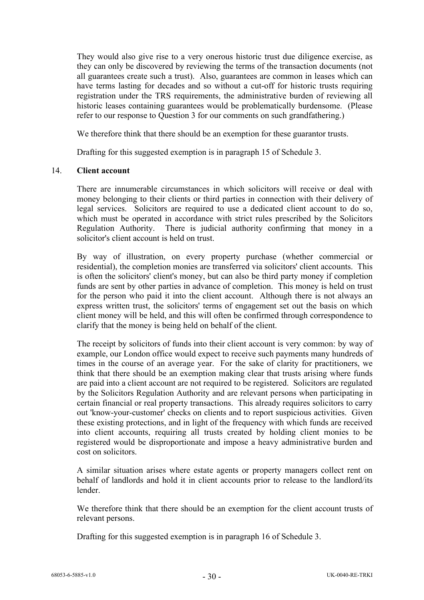They would also give rise to a very onerous historic trust due diligence exercise, as they can only be discovered by reviewing the terms of the transaction documents (not all guarantees create such a trust). Also, guarantees are common in leases which can have terms lasting for decades and so without a cut-off for historic trusts requiring registration under the TRS requirements, the administrative burden of reviewing all historic leases containing guarantees would be problematically burdensome. (Please refer to our response to Question 3 for our comments on such grandfathering.)

We therefore think that there should be an exemption for these guarantor trusts.

Drafting for this suggested exemption is in paragraph [15](#page-55-1) of [Schedule 3.](#page-51-0)

### <span id="page-29-0"></span>14. **Client account**

There are innumerable circumstances in which solicitors will receive or deal with money belonging to their clients or third parties in connection with their delivery of legal services. Solicitors are required to use a dedicated client account to do so, which must be operated in accordance with strict rules prescribed by the Solicitors Regulation Authority. There is judicial authority confirming that money in a solicitor's client account is held on trust.

By way of illustration, on every property purchase (whether commercial or residential), the completion monies are transferred via solicitors' client accounts. This is often the solicitors' client's money, but can also be third party money if completion funds are sent by other parties in advance of completion. This money is held on trust for the person who paid it into the client account. Although there is not always an express written trust, the solicitors' terms of engagement set out the basis on which client money will be held, and this will often be confirmed through correspondence to clarify that the money is being held on behalf of the client.

The receipt by solicitors of funds into their client account is very common: by way of example, our London office would expect to receive such payments many hundreds of times in the course of an average year. For the sake of clarity for practitioners, we think that there should be an exemption making clear that trusts arising where funds are paid into a client account are not required to be registered. Solicitors are regulated by the Solicitors Regulation Authority and are relevant persons when participating in certain financial or real property transactions. This already requires solicitors to carry out 'know-your-customer' checks on clients and to report suspicious activities. Given these existing protections, and in light of the frequency with which funds are received into client accounts, requiring all trusts created by holding client monies to be registered would be disproportionate and impose a heavy administrative burden and cost on solicitors.

A similar situation arises where estate agents or property managers collect rent on behalf of landlords and hold it in client accounts prior to release to the landlord/its lender.

We therefore think that there should be an exemption for the client account trusts of relevant persons.

Drafting for this suggested exemption is in paragraph [16](#page-55-2) of [Schedule 3.](#page-51-0)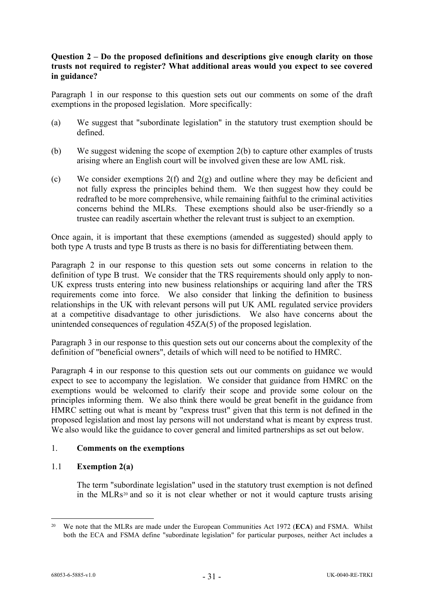## **Question 2 – Do the proposed definitions and descriptions give enough clarity on those trusts not required to register? What additional areas would you expect to see covered in guidance?**

Paragraph 1 in our response to this question sets out our comments on some of the draft exemptions in the proposed legislation. More specifically:

- (a) We suggest that "subordinate legislation" in the statutory trust exemption should be defined.
- (b) We suggest widening the scope of exemption 2(b) to capture other examples of trusts arising where an English court will be involved given these are low AML risk.
- (c) We consider exemptions 2(f) and 2(g) and outline where they may be deficient and not fully express the principles behind them. We then suggest how they could be redrafted to be more comprehensive, while remaining faithful to the criminal activities concerns behind the MLRs. These exemptions should also be user-friendly so a trustee can readily ascertain whether the relevant trust is subject to an exemption.

Once again, it is important that these exemptions (amended as suggested) should apply to both type A trusts and type B trusts as there is no basis for differentiating between them.

Paragraph 2 in our response to this question sets out some concerns in relation to the definition of type B trust. We consider that the TRS requirements should only apply to non-UK express trusts entering into new business relationships or acquiring land after the TRS requirements come into force. We also consider that linking the definition to business relationships in the UK with relevant persons will put UK AML regulated service providers at a competitive disadvantage to other jurisdictions. We also have concerns about the unintended consequences of regulation 45ZA(5) of the proposed legislation.

Paragraph 3 in our response to this question sets out our concerns about the complexity of the definition of "beneficial owners", details of which will need to be notified to HMRC.

Paragraph 4 in our response to this question sets out our comments on guidance we would expect to see to accompany the legislation. We consider that guidance from HMRC on the exemptions would be welcomed to clarify their scope and provide some colour on the principles informing them. We also think there would be great benefit in the guidance from HMRC setting out what is meant by "express trust" given that this term is not defined in the proposed legislation and most lay persons will not understand what is meant by express trust. We also would like the guidance to cover general and limited partnerships as set out below.

# 1. **Comments on the exemptions**

### <span id="page-30-0"></span>1.1 **Exemption 2(a)**

The term "subordinate legislation" used in the statutory trust exemption is not defined in the MLRs<sup>[20](#page-31-0)</sup> and so it is not clear whether or not it would capture trusts arising

<sup>20</sup> We note that the MLRs are made under the European Communities Act 1972 (**ECA**) and FSMA. Whilst both the ECA and FSMA define "subordinate legislation" for particular purposes, neither Act includes a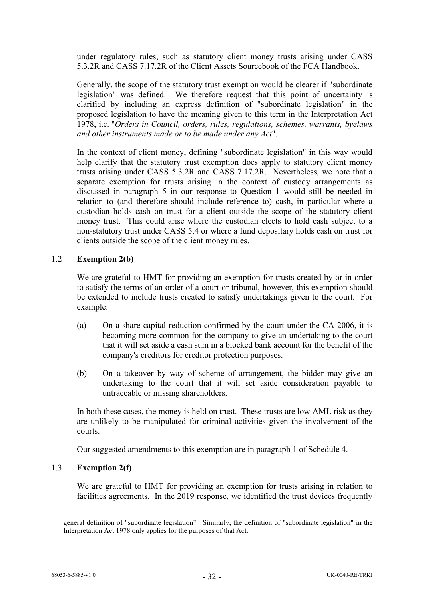under regulatory rules, such as statutory client money trusts arising under CASS 5.3.2R and CASS 7.17.2R of the Client Assets Sourcebook of the FCA Handbook.

Generally, the scope of the statutory trust exemption would be clearer if "subordinate legislation" was defined. We therefore request that this point of uncertainty is clarified by including an express definition of "subordinate legislation" in the proposed legislation to have the meaning given to this term in the Interpretation Act 1978, i.e. "*Orders in Council, orders, rules, regulations, schemes, warrants, byelaws and other instruments made or to be made under any Act*".

In the context of client money, defining "subordinate legislation" in this way would help clarify that the statutory trust exemption does apply to statutory client money trusts arising under CASS 5.3.2R and CASS 7.17.2R. Nevertheless, we note that a separate exemption for trusts arising in the context of custody arrangements as discussed in paragraph [5](#page-9-0) in our response to Question 1 would still be needed in relation to (and therefore should include reference to) cash, in particular where a custodian holds cash on trust for a client outside the scope of the statutory client money trust. This could arise where the custodian elects to hold cash subject to a non-statutory trust under CASS 5.4 or where a fund depositary holds cash on trust for clients outside the scope of the client money rules.

### 1.2 **Exemption 2(b)**

We are grateful to HMT for providing an exemption for trusts created by or in order to satisfy the terms of an order of a court or tribunal, however, this exemption should be extended to include trusts created to satisfy undertakings given to the court. For example:

- (a) On a share capital reduction confirmed by the court under the CA 2006, it is becoming more common for the company to give an undertaking to the court that it will set aside a cash sum in a blocked bank account for the benefit of the company's creditors for creditor protection purposes.
- (b) On a takeover by way of scheme of arrangement, the bidder may give an undertaking to the court that it will set aside consideration payable to untraceable or missing shareholders.

In both these cases, the money is held on trust. These trusts are low AML risk as they are unlikely to be manipulated for criminal activities given the involvement of the courts.

Our suggested amendments to this exemption are in paragraph [1](#page-56-0) of [Schedule 4.](#page-56-1)

# <span id="page-31-0"></span>1.3 **Exemption 2(f)**

We are grateful to HMT for providing an exemption for trusts arising in relation to facilities agreements. In the 2019 response, we identified the trust devices frequently

general definition of "subordinate legislation". Similarly, the definition of "subordinate legislation" in the Interpretation Act 1978 only applies for the purposes of that Act.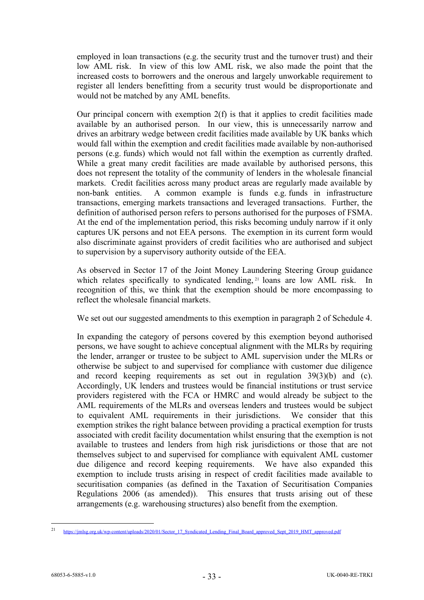employed in loan transactions (e.g. the security trust and the turnover trust) and their low AML risk. In view of this low AML risk, we also made the point that the increased costs to borrowers and the onerous and largely unworkable requirement to register all lenders benefitting from a security trust would be disproportionate and would not be matched by any AML benefits.

Our principal concern with exemption 2(f) is that it applies to credit facilities made available by an authorised person. In our view, this is unnecessarily narrow and drives an arbitrary wedge between credit facilities made available by UK banks which would fall within the exemption and credit facilities made available by non-authorised persons (e.g. funds) which would not fall within the exemption as currently drafted. While a great many credit facilities are made available by authorised persons, this does not represent the totality of the community of lenders in the wholesale financial markets. Credit facilities across many product areas are regularly made available by non-bank entities. A common example is funds e.g. funds in infrastructure transactions, emerging markets transactions and leveraged transactions. Further, the definition of authorised person refers to persons authorised for the purposes of FSMA. At the end of the implementation period, this risks becoming unduly narrow if it only captures UK persons and not EEA persons. The exemption in its current form would also discriminate against providers of credit facilities who are authorised and subject to supervision by a supervisory authority outside of the EEA.

As observed in Sector 17 of the Joint Money Laundering Steering Group guidance which relates specifically to syndicated lending, <sup>[21](#page-32-0)</sup> loans are low AML risk. In recognition of this, we think that the exemption should be more encompassing to reflect the wholesale financial markets.

We set out our suggested amendments to this exemption in paragraph [2](#page-56-2) of [Schedule 4.](#page-56-1)

In expanding the category of persons covered by this exemption beyond authorised persons, we have sought to achieve conceptual alignment with the MLRs by requiring the lender, arranger or trustee to be subject to AML supervision under the MLRs or otherwise be subject to and supervised for compliance with customer due diligence and record keeping requirements as set out in regulation 39(3)(b) and (c). Accordingly, UK lenders and trustees would be financial institutions or trust service providers registered with the FCA or HMRC and would already be subject to the AML requirements of the MLRs and overseas lenders and trustees would be subject to equivalent AML requirements in their jurisdictions. We consider that this exemption strikes the right balance between providing a practical exemption for trusts associated with credit facility documentation whilst ensuring that the exemption is not available to trustees and lenders from high risk jurisdictions or those that are not themselves subject to and supervised for compliance with equivalent AML customer due diligence and record keeping requirements. We have also expanded this exemption to include trusts arising in respect of credit facilities made available to securitisation companies (as defined in the Taxation of Securitisation Companies Regulations 2006 (as amended)). This ensures that trusts arising out of these arrangements (e.g. warehousing structures) also benefit from the exemption.

<span id="page-32-0"></span><sup>21</sup> [https://jmlsg.org.uk/wp-content/uploads/2020/01/Sector\\_17\\_Syndicated\\_Lending\\_Final\\_Board\\_approved\\_Sept\\_2019\\_HMT\\_approved.pdf](https://jmlsg.org.uk/wp-content/uploads/2020/01/Sector_17_Syndicated_Lending_Final_Board_approved_Sept_2019_HMT_approved.pdf)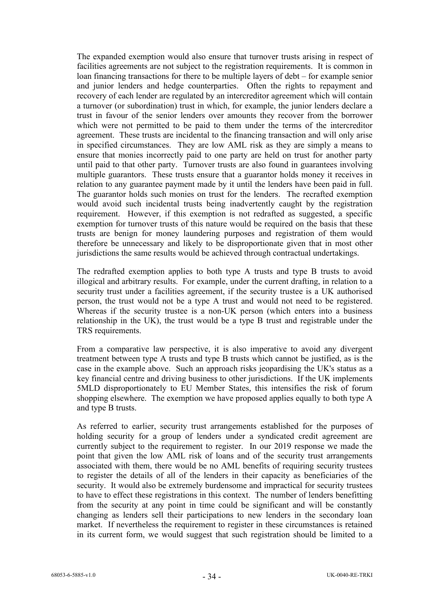The expanded exemption would also ensure that turnover trusts arising in respect of facilities agreements are not subject to the registration requirements. It is common in loan financing transactions for there to be multiple layers of debt – for example senior and junior lenders and hedge counterparties. Often the rights to repayment and recovery of each lender are regulated by an intercreditor agreement which will contain a turnover (or subordination) trust in which, for example, the junior lenders declare a trust in favour of the senior lenders over amounts they recover from the borrower which were not permitted to be paid to them under the terms of the intercreditor agreement. These trusts are incidental to the financing transaction and will only arise in specified circumstances. They are low AML risk as they are simply a means to ensure that monies incorrectly paid to one party are held on trust for another party until paid to that other party. Turnover trusts are also found in guarantees involving multiple guarantors. These trusts ensure that a guarantor holds money it receives in relation to any guarantee payment made by it until the lenders have been paid in full. The guarantor holds such monies on trust for the lenders. The recrafted exemption would avoid such incidental trusts being inadvertently caught by the registration requirement. However, if this exemption is not redrafted as suggested, a specific exemption for turnover trusts of this nature would be required on the basis that these trusts are benign for money laundering purposes and registration of them would therefore be unnecessary and likely to be disproportionate given that in most other jurisdictions the same results would be achieved through contractual undertakings.

The redrafted exemption applies to both type A trusts and type B trusts to avoid illogical and arbitrary results. For example, under the current drafting, in relation to a security trust under a facilities agreement, if the security trustee is a UK authorised person, the trust would not be a type A trust and would not need to be registered. Whereas if the security trustee is a non-UK person (which enters into a business relationship in the UK), the trust would be a type B trust and registrable under the TRS requirements.

From a comparative law perspective, it is also imperative to avoid any divergent treatment between type A trusts and type B trusts which cannot be justified, as is the case in the example above. Such an approach risks jeopardising the UK's status as a key financial centre and driving business to other jurisdictions. If the UK implements 5MLD disproportionately to EU Member States, this intensifies the risk of forum shopping elsewhere. The exemption we have proposed applies equally to both type A and type B trusts.

As referred to earlier, security trust arrangements established for the purposes of holding security for a group of lenders under a syndicated credit agreement are currently subject to the requirement to register. In our 2019 response we made the point that given the low AML risk of loans and of the security trust arrangements associated with them, there would be no AML benefits of requiring security trustees to register the details of all of the lenders in their capacity as beneficiaries of the security. It would also be extremely burdensome and impractical for security trustees to have to effect these registrations in this context. The number of lenders benefitting from the security at any point in time could be significant and will be constantly changing as lenders sell their participations to new lenders in the secondary loan market. If nevertheless the requirement to register in these circumstances is retained in its current form, we would suggest that such registration should be limited to a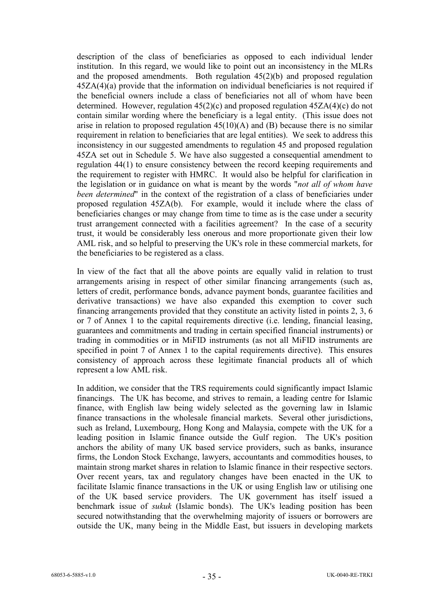description of the class of beneficiaries as opposed to each individual lender institution. In this regard, we would like to point out an inconsistency in the MLRs and the proposed amendments. Both regulation 45(2)(b) and proposed regulation 45ZA(4)(a) provide that the information on individual beneficiaries is not required if the beneficial owners include a class of beneficiaries not all of whom have been determined. However, regulation  $45(2)(c)$  and proposed regulation  $45ZA(4)(c)$  do not contain similar wording where the beneficiary is a legal entity. (This issue does not arise in relation to proposed regulation 45(10)(A) and (B) because there is no similar requirement in relation to beneficiaries that are legal entities). We seek to address this inconsistency in our suggested amendments to regulation 45 and proposed regulation 45ZA set out in Schedule 5. We have also suggested a consequential amendment to regulation 44(1) to ensure consistency between the record keeping requirements and the requirement to register with HMRC. It would also be helpful for clarification in the legislation or in guidance on what is meant by the words "*not all of whom have been determined*" in the context of the registration of a class of beneficiaries under proposed regulation 45ZA(b). For example, would it include where the class of beneficiaries changes or may change from time to time as is the case under a security trust arrangement connected with a facilities agreement? In the case of a security trust, it would be considerably less onerous and more proportionate given their low AML risk, and so helpful to preserving the UK's role in these commercial markets, for the beneficiaries to be registered as a class.

In view of the fact that all the above points are equally valid in relation to trust arrangements arising in respect of other similar financing arrangements (such as, letters of credit, performance bonds, advance payment bonds, guarantee facilities and derivative transactions) we have also expanded this exemption to cover such financing arrangements provided that they constitute an activity listed in points 2, 3, 6 or 7 of Annex 1 to the capital requirements directive (i.e. lending, financial leasing, guarantees and commitments and trading in certain specified financial instruments) or trading in commodities or in MiFID instruments (as not all MiFID instruments are specified in point 7 of Annex 1 to the capital requirements directive). This ensures consistency of approach across these legitimate financial products all of which represent a low AML risk.

In addition, we consider that the TRS requirements could significantly impact Islamic financings. The UK has become, and strives to remain, a leading centre for Islamic finance, with English law being widely selected as the governing law in Islamic finance transactions in the wholesale financial markets. Several other jurisdictions, such as Ireland, Luxembourg, Hong Kong and Malaysia, compete with the UK for a leading position in Islamic finance outside the Gulf region. The UK's position anchors the ability of many UK based service providers, such as banks, insurance firms, the London Stock Exchange, lawyers, accountants and commodities houses, to maintain strong market shares in relation to Islamic finance in their respective sectors. Over recent years, tax and regulatory changes have been enacted in the UK to facilitate Islamic finance transactions in the UK or using English law or utilising one of the UK based service providers. The UK government has itself issued a benchmark issue of *sukuk* (Islamic bonds). The UK's leading position has been secured notwithstanding that the overwhelming majority of issuers or borrowers are outside the UK, many being in the Middle East, but issuers in developing markets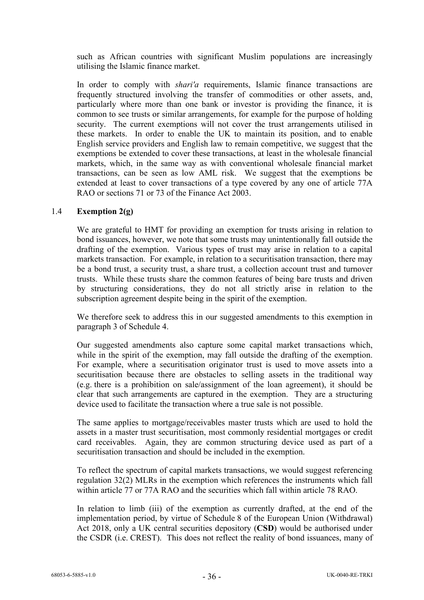such as African countries with significant Muslim populations are increasingly utilising the Islamic finance market.

In order to comply with *shari'a* requirements, Islamic finance transactions are frequently structured involving the transfer of commodities or other assets, and, particularly where more than one bank or investor is providing the finance, it is common to see trusts or similar arrangements, for example for the purpose of holding security. The current exemptions will not cover the trust arrangements utilised in these markets. In order to enable the UK to maintain its position, and to enable English service providers and English law to remain competitive, we suggest that the exemptions be extended to cover these transactions, at least in the wholesale financial markets, which, in the same way as with conventional wholesale financial market transactions, can be seen as low AML risk. We suggest that the exemptions be extended at least to cover transactions of a type covered by any one of article 77A RAO or sections 71 or 73 of the Finance Act 2003.

## 1.4 **Exemption 2(g)**

We are grateful to HMT for providing an exemption for trusts arising in relation to bond issuances, however, we note that some trusts may unintentionally fall outside the drafting of the exemption. Various types of trust may arise in relation to a capital markets transaction. For example, in relation to a securitisation transaction, there may be a bond trust, a security trust, a share trust, a collection account trust and turnover trusts. While these trusts share the common features of being bare trusts and driven by structuring considerations, they do not all strictly arise in relation to the subscription agreement despite being in the spirit of the exemption.

We therefore seek to address this in our suggested amendments to this exemption in paragraph [3](#page-56-3) of [Schedule 4.](#page-56-1)

Our suggested amendments also capture some capital market transactions which, while in the spirit of the exemption, may fall outside the drafting of the exemption. For example, where a securitisation originator trust is used to move assets into a securitisation because there are obstacles to selling assets in the traditional way (e.g. there is a prohibition on sale/assignment of the loan agreement), it should be clear that such arrangements are captured in the exemption. They are a structuring device used to facilitate the transaction where a true sale is not possible.

The same applies to mortgage/receivables master trusts which are used to hold the assets in a master trust securitisation, most commonly residential mortgages or credit card receivables. Again, they are common structuring device used as part of a securitisation transaction and should be included in the exemption.

To reflect the spectrum of capital markets transactions, we would suggest referencing regulation 32(2) MLRs in the exemption which references the instruments which fall within article 77 or 77A RAO and the securities which fall within article 78 RAO.

In relation to limb (iii) of the exemption as currently drafted, at the end of the implementation period, by virtue of Schedule 8 of the European Union (Withdrawal) Act 2018, only a UK central securities depository (**CSD**) would be authorised under the CSDR (i.e. CREST). This does not reflect the reality of bond issuances, many of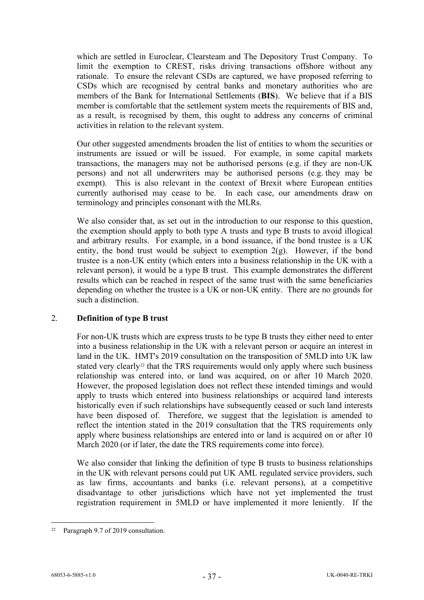which are settled in Euroclear, Clearsteam and The Depository Trust Company. To limit the exemption to CREST, risks driving transactions offshore without any rationale. To ensure the relevant CSDs are captured, we have proposed referring to CSDs which are recognised by central banks and monetary authorities who are members of the Bank for International Settlements (**BIS**). We believe that if a BIS member is comfortable that the settlement system meets the requirements of BIS and, as a result, is recognised by them, this ought to address any concerns of criminal activities in relation to the relevant system.

Our other suggested amendments broaden the list of entities to whom the securities or instruments are issued or will be issued. For example, in some capital markets transactions, the managers may not be authorised persons (e.g. if they are non-UK persons) and not all underwriters may be authorised persons (e.g. they may be exempt). This is also relevant in the context of Brexit where European entities currently authorised may cease to be. In each case, our amendments draw on terminology and principles consonant with the MLRs.

We also consider that, as set out in the introduction to our response to this question, the exemption should apply to both type A trusts and type B trusts to avoid illogical and arbitrary results. For example, in a bond issuance, if the bond trustee is a UK entity, the bond trust would be subject to exemption  $2(g)$ . However, if the bond trustee is a non-UK entity (which enters into a business relationship in the UK with a relevant person), it would be a type B trust. This example demonstrates the different results which can be reached in respect of the same trust with the same beneficiaries depending on whether the trustee is a UK or non-UK entity. There are no grounds for such a distinction.

### <span id="page-36-0"></span>2. **Definition of type B trust**

For non-UK trusts which are express trusts to be type B trusts they either need to enter into a business relationship in the UK with a relevant person or acquire an interest in land in the UK. HMT's 2019 consultation on the transposition of 5MLD into UK law stated very clearly<sup>[22](#page-36-1)</sup> that the TRS requirements would only apply where such business relationship was entered into, or land was acquired, on or after 10 March 2020. However, the proposed legislation does not reflect these intended timings and would apply to trusts which entered into business relationships or acquired land interests historically even if such relationships have subsequently ceased or such land interests have been disposed of. Therefore, we suggest that the legislation is amended to reflect the intention stated in the 2019 consultation that the TRS requirements only apply where business relationships are entered into or land is acquired on or after 10 March 2020 (or if later, the date the TRS requirements come into force).

We also consider that linking the definition of type B trusts to business relationships in the UK with relevant persons could put UK AML regulated service providers, such as law firms, accountants and banks (i.e. relevant persons), at a competitive disadvantage to other jurisdictions which have not yet implemented the trust registration requirement in 5MLD or have implemented it more leniently. If the

<span id="page-36-1"></span><sup>22</sup> Paragraph 9.7 of 2019 consultation.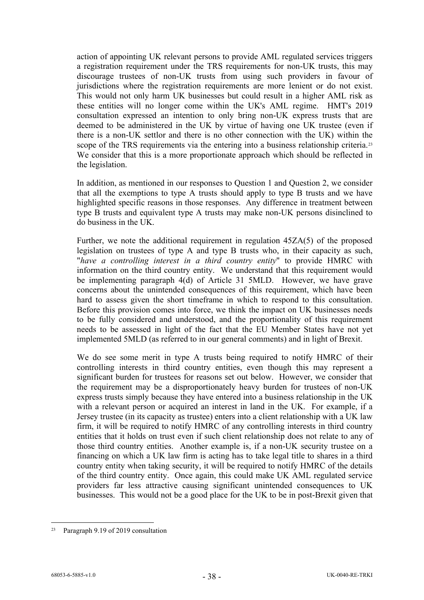action of appointing UK relevant persons to provide AML regulated services triggers a registration requirement under the TRS requirements for non-UK trusts, this may discourage trustees of non-UK trusts from using such providers in favour of jurisdictions where the registration requirements are more lenient or do not exist. This would not only harm UK businesses but could result in a higher AML risk as these entities will no longer come within the UK's AML regime. HMT's 2019 consultation expressed an intention to only bring non-UK express trusts that are deemed to be administered in the UK by virtue of having one UK trustee (even if there is a non-UK settlor and there is no other connection with the UK) within the scope of the TRS requirements via the entering into a business relationship criteria.<sup>[23](#page-37-0)</sup> We consider that this is a more proportionate approach which should be reflected in the legislation.

In addition, as mentioned in our responses to Question 1 and Question 2, we consider that all the exemptions to type A trusts should apply to type B trusts and we have highlighted specific reasons in those responses. Any difference in treatment between type B trusts and equivalent type A trusts may make non-UK persons disinclined to do business in the UK.

Further, we note the additional requirement in regulation 45ZA(5) of the proposed legislation on trustees of type A and type B trusts who, in their capacity as such, "*have a controlling interest in a third country entity*" to provide HMRC with information on the third country entity. We understand that this requirement would be implementing paragraph 4(d) of Article 31 5MLD. However, we have grave concerns about the unintended consequences of this requirement, which have been hard to assess given the short timeframe in which to respond to this consultation. Before this provision comes into force, we think the impact on UK businesses needs to be fully considered and understood, and the proportionality of this requirement needs to be assessed in light of the fact that the EU Member States have not yet implemented 5MLD (as referred to in our general comments) and in light of Brexit.

We do see some merit in type A trusts being required to notify HMRC of their controlling interests in third country entities, even though this may represent a significant burden for trustees for reasons set out below. However, we consider that the requirement may be a disproportionately heavy burden for trustees of non-UK express trusts simply because they have entered into a business relationship in the UK with a relevant person or acquired an interest in land in the UK. For example, if a Jersey trustee (in its capacity as trustee) enters into a client relationship with a UK law firm, it will be required to notify HMRC of any controlling interests in third country entities that it holds on trust even if such client relationship does not relate to any of those third country entities. Another example is, if a non-UK security trustee on a financing on which a UK law firm is acting has to take legal title to shares in a third country entity when taking security, it will be required to notify HMRC of the details of the third country entity. Once again, this could make UK AML regulated service providers far less attractive causing significant unintended consequences to UK businesses. This would not be a good place for the UK to be in post-Brexit given that

<span id="page-37-0"></span><sup>23</sup> Paragraph 9.19 of 2019 consultation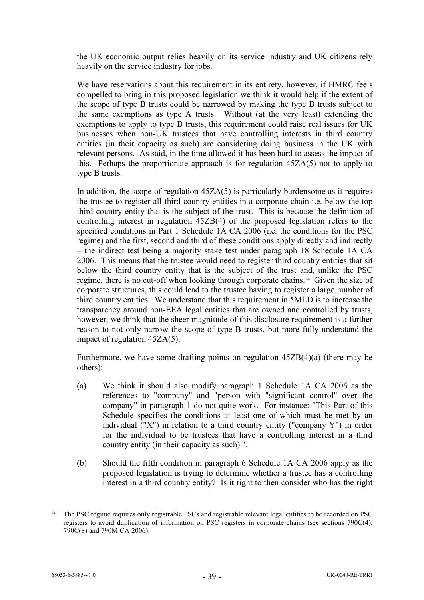the UK economic output relies heavily on its service industry and UK citizens rely heavily on the service industry for jobs.

We have reservations about this requirement in its entirety, however, if HMRC feels compelled to bring in this proposed legislation we think it would help if the extent of the scope of type B trusts could be narrowed by making the type B trusts subject to the same exemptions as type A trusts. Without (at the very least) extending the exemptions to apply to type B trusts, this requirement could raise real issues for UK businesses when non-UK trustees that have controlling interests in third country entities (in their capacity as such) are considering doing business in the UK with relevant persons. As said, in the time allowed it has been hard to assess the impact of this. Perhaps the proportionate approach is for regulation 45ZA(5) not to apply to type B trusts.

In addition, the scope of regulation  $45ZA(5)$  is particularly burdensome as it requires the trustee to register all third country entities in a corporate chain i.e. below the top third country entity that is the subject of the trust. This is because the definition of controlling interest in regulation 45ZB(4) of the proposed legislation refers to the specified conditions in Part 1 Schedule 1A CA 2006 (i.e. the conditions for the PSC regime) and the first, second and third of these conditions apply directly and indirectly – the indirect test being a majority stake test under paragraph 18 Schedule 1A CA 2006. This means that the trustee would need to register third country entities that sit below the third country entity that is the subject of the trust and, unlike the PSC regime, there is no cut-off when looking through corporate chains.[24](#page-38-0) Given the size of corporate structures, this could lead to the trustee having to register a large number of third country entities. We understand that this requirement in 5MLD is to increase the transparency around non-EEA legal entities that are owned and controlled by trusts, however, we think that the sheer magnitude of this disclosure requirement is a further reason to not only narrow the scope of type B trusts, but more fully understand the impact of regulation 45ZA(5).

Furthermore, we have some drafting points on regulation 45ZB(4)(a) (there may be others):

- (a) We think it should also modify paragraph 1 Schedule 1A CA 2006 as the references to "company" and "person with "significant control" over the company" in paragraph 1 do not quite work. For instance: "This Part of this Schedule specifies the conditions at least one of which must be met by an individual ("X") in relation to a third country entity ("company Y") in order for the individual to be trustees that have a controlling interest in a third country entity (in their capacity as such).".
- (b) Should the fifth condition in paragraph 6 Schedule 1A CA 2006 apply as the proposed legislation is trying to determine whether a trustee has a controlling interest in a third country entity? Is it right to then consider who has the right

<span id="page-38-0"></span><sup>&</sup>lt;sup>24</sup> The PSC regime requires only registrable PSCs and registrable relevant legal entities to be recorded on PSC registers to avoid duplication of information on PSC registers in corporate chains (see sections 790C(4), 790C(8) and 790M CA 2006).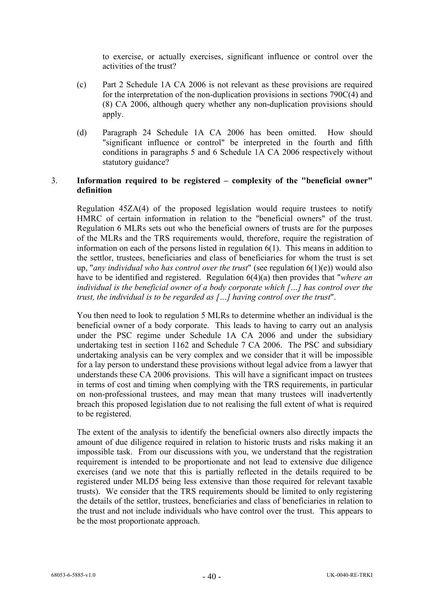to exercise, or actually exercises, significant influence or control over the activities of the trust?

- (c) Part 2 Schedule 1A CA 2006 is not relevant as these provisions are required for the interpretation of the non-duplication provisions in sections 790C(4) and (8) CA 2006, although query whether any non-duplication provisions should apply.
- (d) Paragraph 24 Schedule 1A CA 2006 has been omitted. How should "significant influence or control" be interpreted in the fourth and fifth conditions in paragraphs 5 and 6 Schedule 1A CA 2006 respectively without statutory guidance?

## 3. **Information required to be registered – complexity of the "beneficial owner" definition**

Regulation 45ZA(4) of the proposed legislation would require trustees to notify HMRC of certain information in relation to the "beneficial owners" of the trust. Regulation 6 MLRs sets out who the beneficial owners of trusts are for the purposes of the MLRs and the TRS requirements would, therefore, require the registration of information on each of the persons listed in regulation 6(1). This means in addition to the settlor, trustees, beneficiaries and class of beneficiaries for whom the trust is set up, "*any individual who has control over the trust*" (see regulation 6(1)(e)) would also have to be identified and registered. Regulation 6(4)(a) then provides that "*where an individual is the beneficial owner of a body corporate which […] has control over the trust, the individual is to be regarded as […] having control over the trust*".

You then need to look to regulation 5 MLRs to determine whether an individual is the beneficial owner of a body corporate. This leads to having to carry out an analysis under the PSC regime under Schedule 1A CA 2006 and under the subsidiary undertaking test in section 1162 and Schedule 7 CA 2006. The PSC and subsidiary undertaking analysis can be very complex and we consider that it will be impossible for a lay person to understand these provisions without legal advice from a lawyer that understands these CA 2006 provisions. This will have a significant impact on trustees in terms of cost and timing when complying with the TRS requirements, in particular on non-professional trustees, and may mean that many trustees will inadvertently breach this proposed legislation due to not realising the full extent of what is required to be registered.

The extent of the analysis to identify the beneficial owners also directly impacts the amount of due diligence required in relation to historic trusts and risks making it an impossible task. From our discussions with you, we understand that the registration requirement is intended to be proportionate and not lead to extensive due diligence exercises (and we note that this is partially reflected in the details required to be registered under MLD5 being less extensive than those required for relevant taxable trusts). We consider that the TRS requirements should be limited to only registering the details of the settlor, trustees, beneficiaries and class of beneficiaries in relation to the trust and not include individuals who have control over the trust. This appears to be the most proportionate approach.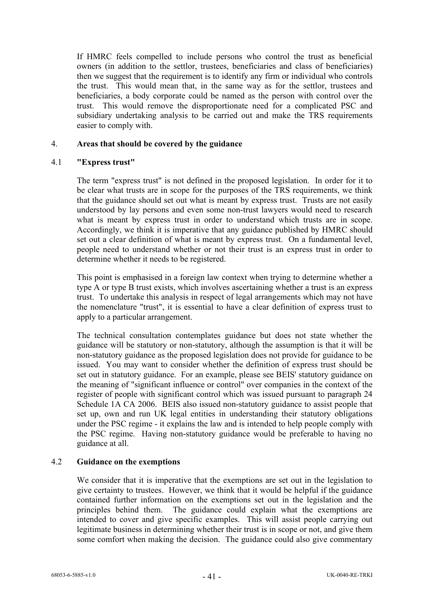If HMRC feels compelled to include persons who control the trust as beneficial owners (in addition to the settlor, trustees, beneficiaries and class of beneficiaries) then we suggest that the requirement is to identify any firm or individual who controls the trust. This would mean that, in the same way as for the settlor, trustees and beneficiaries, a body corporate could be named as the person with control over the trust. This would remove the disproportionate need for a complicated PSC and subsidiary undertaking analysis to be carried out and make the TRS requirements easier to comply with.

### 4. **Areas that should be covered by the guidance**

#### 4.1 **"Express trust"**

The term "express trust" is not defined in the proposed legislation. In order for it to be clear what trusts are in scope for the purposes of the TRS requirements, we think that the guidance should set out what is meant by express trust. Trusts are not easily understood by lay persons and even some non-trust lawyers would need to research what is meant by express trust in order to understand which trusts are in scope. Accordingly, we think it is imperative that any guidance published by HMRC should set out a clear definition of what is meant by express trust. On a fundamental level, people need to understand whether or not their trust is an express trust in order to determine whether it needs to be registered.

This point is emphasised in a foreign law context when trying to determine whether a type A or type B trust exists, which involves ascertaining whether a trust is an express trust. To undertake this analysis in respect of legal arrangements which may not have the nomenclature "trust", it is essential to have a clear definition of express trust to apply to a particular arrangement.

The technical consultation contemplates guidance but does not state whether the guidance will be statutory or non-statutory, although the assumption is that it will be non-statutory guidance as the proposed legislation does not provide for guidance to be issued. You may want to consider whether the definition of express trust should be set out in statutory guidance. For an example, please see BEIS' statutory guidance on the meaning of "significant influence or control" over companies in the context of the register of people with significant control which was issued pursuant to paragraph 24 Schedule 1A CA 2006. BEIS also issued non-statutory guidance to assist people that set up, own and run UK legal entities in understanding their statutory obligations under the PSC regime - it explains the law and is intended to help people comply with the PSC regime. Having non-statutory guidance would be preferable to having no guidance at all.

### 4.2 **Guidance on the exemptions**

We consider that it is imperative that the exemptions are set out in the legislation to give certainty to trustees. However, we think that it would be helpful if the guidance contained further information on the exemptions set out in the legislation and the principles behind them. The guidance could explain what the exemptions are intended to cover and give specific examples. This will assist people carrying out legitimate business in determining whether their trust is in scope or not, and give them some comfort when making the decision. The guidance could also give commentary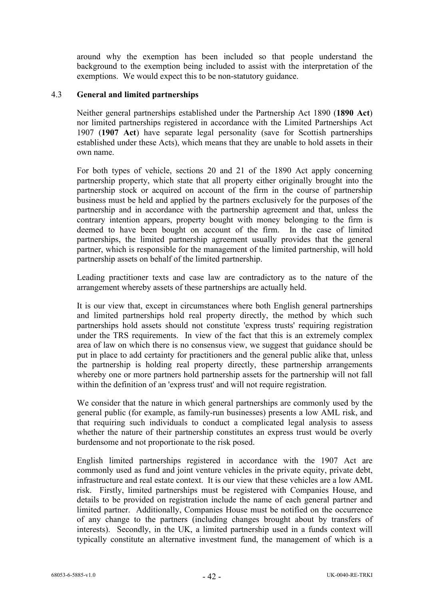around why the exemption has been included so that people understand the background to the exemption being included to assist with the interpretation of the exemptions. We would expect this to be non-statutory guidance.

### 4.3 **General and limited partnerships**

Neither general partnerships established under the Partnership Act 1890 (**1890 Act**) nor limited partnerships registered in accordance with the Limited Partnerships Act 1907 (**1907 Act**) have separate legal personality (save for Scottish partnerships established under these Acts), which means that they are unable to hold assets in their own name.

For both types of vehicle, sections 20 and 21 of the 1890 Act apply concerning partnership property, which state that all property either originally brought into the partnership stock or acquired on account of the firm in the course of partnership business must be held and applied by the partners exclusively for the purposes of the partnership and in accordance with the partnership agreement and that, unless the contrary intention appears, property bought with money belonging to the firm is deemed to have been bought on account of the firm. In the case of limited partnerships, the limited partnership agreement usually provides that the general partner, which is responsible for the management of the limited partnership, will hold partnership assets on behalf of the limited partnership.

Leading practitioner texts and case law are contradictory as to the nature of the arrangement whereby assets of these partnerships are actually held.

It is our view that, except in circumstances where both English general partnerships and limited partnerships hold real property directly, the method by which such partnerships hold assets should not constitute 'express trusts' requiring registration under the TRS requirements. In view of the fact that this is an extremely complex area of law on which there is no consensus view, we suggest that guidance should be put in place to add certainty for practitioners and the general public alike that, unless the partnership is holding real property directly, these partnership arrangements whereby one or more partners hold partnership assets for the partnership will not fall within the definition of an 'express trust' and will not require registration.

We consider that the nature in which general partnerships are commonly used by the general public (for example, as family-run businesses) presents a low AML risk, and that requiring such individuals to conduct a complicated legal analysis to assess whether the nature of their partnership constitutes an express trust would be overly burdensome and not proportionate to the risk posed.

English limited partnerships registered in accordance with the 1907 Act are commonly used as fund and joint venture vehicles in the private equity, private debt, infrastructure and real estate context. It is our view that these vehicles are a low AML risk. Firstly, limited partnerships must be registered with Companies House, and details to be provided on registration include the name of each general partner and limited partner. Additionally, Companies House must be notified on the occurrence of any change to the partners (including changes brought about by transfers of interests). Secondly, in the UK, a limited partnership used in a funds context will typically constitute an alternative investment fund, the management of which is a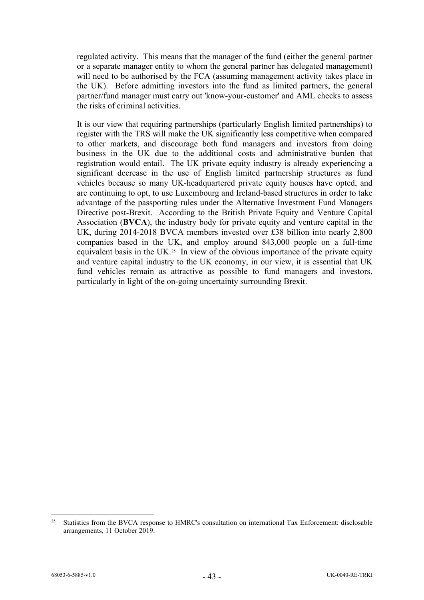regulated activity. This means that the manager of the fund (either the general partner or a separate manager entity to whom the general partner has delegated management) will need to be authorised by the FCA (assuming management activity takes place in the UK). Before admitting investors into the fund as limited partners, the general partner/fund manager must carry out 'know-your-customer' and AML checks to assess the risks of criminal activities.

It is our view that requiring partnerships (particularly English limited partnerships) to register with the TRS will make the UK significantly less competitive when compared to other markets, and discourage both fund managers and investors from doing business in the UK due to the additional costs and administrative burden that registration would entail. The UK private equity industry is already experiencing a significant decrease in the use of English limited partnership structures as fund vehicles because so many UK-headquartered private equity houses have opted, and are continuing to opt, to use Luxembourg and Ireland-based structures in order to take advantage of the passporting rules under the Alternative Investment Fund Managers Directive post-Brexit. According to the British Private Equity and Venture Capital Association (**BVCA**), the industry body for private equity and venture capital in the UK, during 2014-2018 BVCA members invested over £38 billion into nearly 2,800 companies based in the UK, and employ around 843,000 people on a full-time equivalent basis in the UK.<sup>25</sup> In view of the obvious importance of the private equity and venture capital industry to the UK economy, in our view, it is essential that UK fund vehicles remain as attractive as possible to fund managers and investors, particularly in light of the on-going uncertainty surrounding Brexit.

<span id="page-42-0"></span><sup>&</sup>lt;sup>25</sup> Statistics from the BVCA response to HMRC's consultation on international Tax Enforcement: disclosable arrangements, 11 October 2019.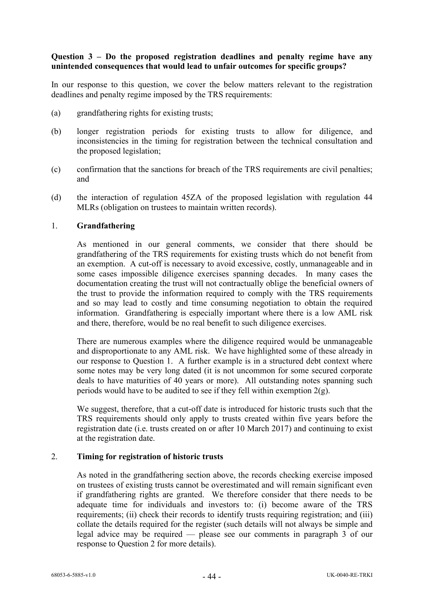### **Question 3 – Do the proposed registration deadlines and penalty regime have any unintended consequences that would lead to unfair outcomes for specific groups?**

In our response to this question, we cover the below matters relevant to the registration deadlines and penalty regime imposed by the TRS requirements:

- (a) grandfathering rights for existing trusts;
- (b) longer registration periods for existing trusts to allow for diligence, and inconsistencies in the timing for registration between the technical consultation and the proposed legislation;
- (c) confirmation that the sanctions for breach of the TRS requirements are civil penalties; and
- (d) the interaction of regulation 45ZA of the proposed legislation with regulation 44 MLRs (obligation on trustees to maintain written records).

### 1. **Grandfathering**

As mentioned in our general comments, we consider that there should be grandfathering of the TRS requirements for existing trusts which do not benefit from an exemption. A cut-off is necessary to avoid excessive, costly, unmanageable and in some cases impossible diligence exercises spanning decades. In many cases the documentation creating the trust will not contractually oblige the beneficial owners of the trust to provide the information required to comply with the TRS requirements and so may lead to costly and time consuming negotiation to obtain the required information. Grandfathering is especially important where there is a low AML risk and there, therefore, would be no real benefit to such diligence exercises.

There are numerous examples where the diligence required would be unmanageable and disproportionate to any AML risk. We have highlighted some of these already in our response to Question 1. A further example is in a structured debt context where some notes may be very long dated (it is not uncommon for some secured corporate deals to have maturities of 40 years or more). All outstanding notes spanning such periods would have to be audited to see if they fell within exemption 2(g).

We suggest, therefore, that a cut-off date is introduced for historic trusts such that the TRS requirements should only apply to trusts created within five years before the registration date (i.e. trusts created on or after 10 March 2017) and continuing to exist at the registration date.

#### 2. **Timing for registration of historic trusts**

As noted in the grandfathering section above, the records checking exercise imposed on trustees of existing trusts cannot be overestimated and will remain significant even if grandfathering rights are granted. We therefore consider that there needs to be adequate time for individuals and investors to: (i) become aware of the TRS requirements; (ii) check their records to identify trusts requiring registration; and (iii) collate the details required for the register (such details will not always be simple and legal advice may be required — please see our comments in paragraph 3 of our response to Question 2 for more details).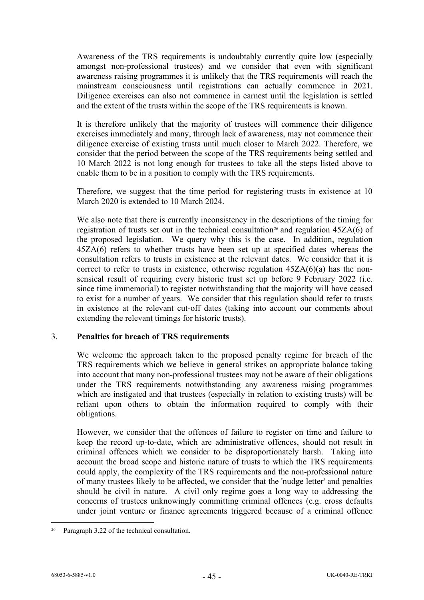Awareness of the TRS requirements is undoubtably currently quite low (especially amongst non-professional trustees) and we consider that even with significant awareness raising programmes it is unlikely that the TRS requirements will reach the mainstream consciousness until registrations can actually commence in 2021. Diligence exercises can also not commence in earnest until the legislation is settled and the extent of the trusts within the scope of the TRS requirements is known.

It is therefore unlikely that the majority of trustees will commence their diligence exercises immediately and many, through lack of awareness, may not commence their diligence exercise of existing trusts until much closer to March 2022. Therefore, we consider that the period between the scope of the TRS requirements being settled and 10 March 2022 is not long enough for trustees to take all the steps listed above to enable them to be in a position to comply with the TRS requirements.

Therefore, we suggest that the time period for registering trusts in existence at 10 March 2020 is extended to 10 March 2024.

We also note that there is currently inconsistency in the descriptions of the timing for registration of trusts set out in the technical consultation<sup>[26](#page-44-0)</sup> and regulation  $45ZA(6)$  of the proposed legislation. We query why this is the case. In addition, regulation 45ZA(6) refers to whether trusts have been set up at specified dates whereas the consultation refers to trusts in existence at the relevant dates. We consider that it is correct to refer to trusts in existence, otherwise regulation  $45ZA(6)(a)$  has the nonsensical result of requiring every historic trust set up before 9 February 2022 (i.e. since time immemorial) to register notwithstanding that the majority will have ceased to exist for a number of years. We consider that this regulation should refer to trusts in existence at the relevant cut-off dates (taking into account our comments about extending the relevant timings for historic trusts).

### 3. **Penalties for breach of TRS requirements**

We welcome the approach taken to the proposed penalty regime for breach of the TRS requirements which we believe in general strikes an appropriate balance taking into account that many non-professional trustees may not be aware of their obligations under the TRS requirements notwithstanding any awareness raising programmes which are instigated and that trustees (especially in relation to existing trusts) will be reliant upon others to obtain the information required to comply with their obligations.

However, we consider that the offences of failure to register on time and failure to keep the record up-to-date, which are administrative offences, should not result in criminal offences which we consider to be disproportionately harsh. Taking into account the broad scope and historic nature of trusts to which the TRS requirements could apply, the complexity of the TRS requirements and the non-professional nature of many trustees likely to be affected, we consider that the 'nudge letter' and penalties should be civil in nature. A civil only regime goes a long way to addressing the concerns of trustees unknowingly committing criminal offences (e.g. cross defaults under joint venture or finance agreements triggered because of a criminal offence

<span id="page-44-0"></span><sup>&</sup>lt;sup>26</sup> Paragraph 3.22 of the technical consultation.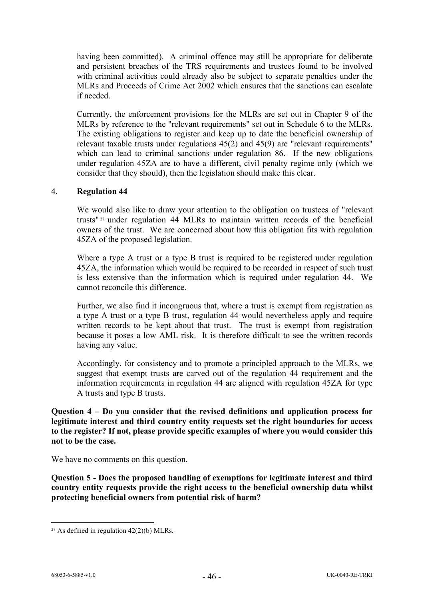having been committed). A criminal offence may still be appropriate for deliberate and persistent breaches of the TRS requirements and trustees found to be involved with criminal activities could already also be subject to separate penalties under the MLRs and Proceeds of Crime Act 2002 which ensures that the sanctions can escalate if needed.

Currently, the enforcement provisions for the MLRs are set out in Chapter 9 of the MLRs by reference to the "relevant requirements" set out in Schedule 6 to the MLRs. The existing obligations to register and keep up to date the beneficial ownership of relevant taxable trusts under regulations 45(2) and 45(9) are "relevant requirements" which can lead to criminal sanctions under regulation 86. If the new obligations under regulation 45ZA are to have a different, civil penalty regime only (which we consider that they should), then the legislation should make this clear.

## 4. **Regulation 44**

We would also like to draw your attention to the obligation on trustees of "relevant trusts" [27](#page-45-0) under regulation 44 MLRs to maintain written records of the beneficial owners of the trust. We are concerned about how this obligation fits with regulation 45ZA of the proposed legislation.

Where a type A trust or a type B trust is required to be registered under regulation 45ZA, the information which would be required to be recorded in respect of such trust is less extensive than the information which is required under regulation 44. We cannot reconcile this difference.

Further, we also find it incongruous that, where a trust is exempt from registration as a type A trust or a type B trust, regulation 44 would nevertheless apply and require written records to be kept about that trust. The trust is exempt from registration because it poses a low AML risk. It is therefore difficult to see the written records having any value.

Accordingly, for consistency and to promote a principled approach to the MLRs, we suggest that exempt trusts are carved out of the regulation 44 requirement and the information requirements in regulation 44 are aligned with regulation 45ZA for type A trusts and type B trusts.

**Question 4 – Do you consider that the revised definitions and application process for legitimate interest and third country entity requests set the right boundaries for access to the register? If not, please provide specific examples of where you would consider this not to be the case.**

We have no comments on this question.

**Question 5 - Does the proposed handling of exemptions for legitimate interest and third country entity requests provide the right access to the beneficial ownership data whilst protecting beneficial owners from potential risk of harm?**

<span id="page-45-0"></span><sup>&</sup>lt;sup>27</sup> As defined in regulation  $42(2)(b)$  MLRs.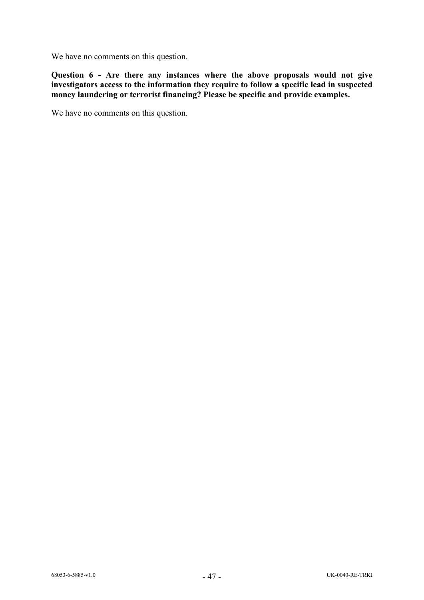We have no comments on this question.

**Question 6 - Are there any instances where the above proposals would not give investigators access to the information they require to follow a specific lead in suspected money laundering or terrorist financing? Please be specific and provide examples.**

We have no comments on this question.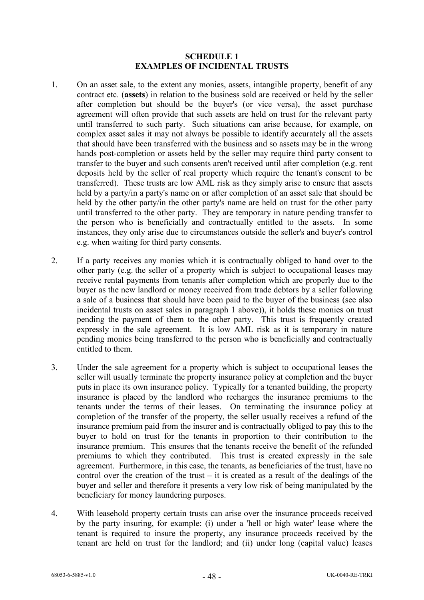### **SCHEDULE 1 EXAMPLES OF INCIDENTAL TRUSTS**

- <span id="page-47-1"></span><span id="page-47-0"></span>1. On an asset sale, to the extent any monies, assets, intangible property, benefit of any contract etc. (**assets**) in relation to the business sold are received or held by the seller after completion but should be the buyer's (or vice versa), the asset purchase agreement will often provide that such assets are held on trust for the relevant party until transferred to such party. Such situations can arise because, for example, on complex asset sales it may not always be possible to identify accurately all the assets that should have been transferred with the business and so assets may be in the wrong hands post-completion or assets held by the seller may require third party consent to transfer to the buyer and such consents aren't received until after completion (e.g. rent deposits held by the seller of real property which require the tenant's consent to be transferred). These trusts are low AML risk as they simply arise to ensure that assets held by a party/in a party's name on or after completion of an asset sale that should be held by the other party/in the other party's name are held on trust for the other party until transferred to the other party. They are temporary in nature pending transfer to the person who is beneficially and contractually entitled to the assets. In some instances, they only arise due to circumstances outside the seller's and buyer's control e.g. when waiting for third party consents.
- 2. If a party receives any monies which it is contractually obliged to hand over to the other party (e.g. the seller of a property which is subject to occupational leases may receive rental payments from tenants after completion which are properly due to the buyer as the new landlord or money received from trade debtors by a seller following a sale of a business that should have been paid to the buyer of the business (see also incidental trusts on asset sales in paragraph [1](#page-47-1) above)), it holds these monies on trust pending the payment of them to the other party. This trust is frequently created expressly in the sale agreement. It is low AML risk as it is temporary in nature pending monies being transferred to the person who is beneficially and contractually entitled to them.
- 3. Under the sale agreement for a property which is subject to occupational leases the seller will usually terminate the property insurance policy at completion and the buyer puts in place its own insurance policy. Typically for a tenanted building, the property insurance is placed by the landlord who recharges the insurance premiums to the tenants under the terms of their leases. On terminating the insurance policy at completion of the transfer of the property, the seller usually receives a refund of the insurance premium paid from the insurer and is contractually obliged to pay this to the buyer to hold on trust for the tenants in proportion to their contribution to the insurance premium. This ensures that the tenants receive the benefit of the refunded premiums to which they contributed. This trust is created expressly in the sale agreement. Furthermore, in this case, the tenants, as beneficiaries of the trust, have no control over the creation of the trust – it is created as a result of the dealings of the buyer and seller and therefore it presents a very low risk of being manipulated by the beneficiary for money laundering purposes.
- <span id="page-47-2"></span>4. With leasehold property certain trusts can arise over the insurance proceeds received by the party insuring, for example: (i) under a 'hell or high water' lease where the tenant is required to insure the property, any insurance proceeds received by the tenant are held on trust for the landlord; and (ii) under long (capital value) leases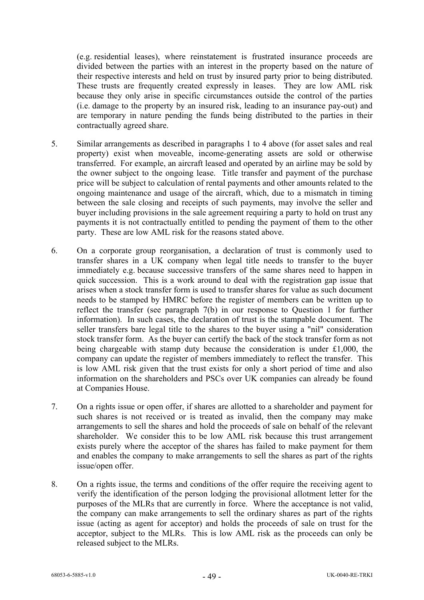(e.g. residential leases), where reinstatement is frustrated insurance proceeds are divided between the parties with an interest in the property based on the nature of their respective interests and held on trust by insured party prior to being distributed. These trusts are frequently created expressly in leases. They are low AML risk because they only arise in specific circumstances outside the control of the parties (i.e. damage to the property by an insured risk, leading to an insurance pay-out) and are temporary in nature pending the funds being distributed to the parties in their contractually agreed share.

- 5. Similar arrangements as described in paragraphs [1](#page-47-1) to [4](#page-47-2) above (for asset sales and real property) exist when moveable, income-generating assets are sold or otherwise transferred. For example, an aircraft leased and operated by an airline may be sold by the owner subject to the ongoing lease. Title transfer and payment of the purchase price will be subject to calculation of rental payments and other amounts related to the ongoing maintenance and usage of the aircraft, which, due to a mismatch in timing between the sale closing and receipts of such payments, may involve the seller and buyer including provisions in the sale agreement requiring a party to hold on trust any payments it is not contractually entitled to pending the payment of them to the other party. These are low AML risk for the reasons stated above.
- 6. On a corporate group reorganisation, a declaration of trust is commonly used to transfer shares in a UK company when legal title needs to transfer to the buyer immediately e.g. because successive transfers of the same shares need to happen in quick succession. This is a work around to deal with the registration gap issue that arises when a stock transfer form is used to transfer shares for value as such document needs to be stamped by HMRC before the register of members can be written up to reflect the transfer (see paragraph [7\(b\)](#page-15-1) in our response to Question 1 for further information). In such cases, the declaration of trust is the stampable document. The seller transfers bare legal title to the shares to the buyer using a "nil" consideration stock transfer form. As the buyer can certify the back of the stock transfer form as not being chargeable with stamp duty because the consideration is under £1,000, the company can update the register of members immediately to reflect the transfer. This is low AML risk given that the trust exists for only a short period of time and also information on the shareholders and PSCs over UK companies can already be found at Companies House.
- 7. On a rights issue or open offer, if shares are allotted to a shareholder and payment for such shares is not received or is treated as invalid, then the company may make arrangements to sell the shares and hold the proceeds of sale on behalf of the relevant shareholder. We consider this to be low AML risk because this trust arrangement exists purely where the acceptor of the shares has failed to make payment for them and enables the company to make arrangements to sell the shares as part of the rights issue/open offer.
- 8. On a rights issue, the terms and conditions of the offer require the receiving agent to verify the identification of the person lodging the provisional allotment letter for the purposes of the MLRs that are currently in force. Where the acceptance is not valid, the company can make arrangements to sell the ordinary shares as part of the rights issue (acting as agent for acceptor) and holds the proceeds of sale on trust for the acceptor, subject to the MLRs. This is low AML risk as the proceeds can only be released subject to the MLRs.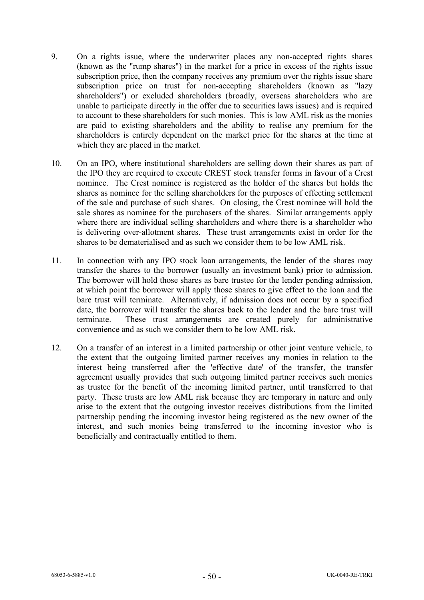- 9. On a rights issue, where the underwriter places any non-accepted rights shares (known as the "rump shares") in the market for a price in excess of the rights issue subscription price, then the company receives any premium over the rights issue share subscription price on trust for non-accepting shareholders (known as "lazy shareholders") or excluded shareholders (broadly, overseas shareholders who are unable to participate directly in the offer due to securities laws issues) and is required to account to these shareholders for such monies. This is low AML risk as the monies are paid to existing shareholders and the ability to realise any premium for the shareholders is entirely dependent on the market price for the shares at the time at which they are placed in the market.
- 10. On an IPO, where institutional shareholders are selling down their shares as part of the IPO they are required to execute CREST stock transfer forms in favour of a Crest nominee. The Crest nominee is registered as the holder of the shares but holds the shares as nominee for the selling shareholders for the purposes of effecting settlement of the sale and purchase of such shares. On closing, the Crest nominee will hold the sale shares as nominee for the purchasers of the shares. Similar arrangements apply where there are individual selling shareholders and where there is a shareholder who is delivering over-allotment shares. These trust arrangements exist in order for the shares to be dematerialised and as such we consider them to be low AML risk.
- 11. In connection with any IPO stock loan arrangements, the lender of the shares may transfer the shares to the borrower (usually an investment bank) prior to admission. The borrower will hold those shares as bare trustee for the lender pending admission, at which point the borrower will apply those shares to give effect to the loan and the bare trust will terminate. Alternatively, if admission does not occur by a specified date, the borrower will transfer the shares back to the lender and the bare trust will terminate. These trust arrangements are created purely for administrative convenience and as such we consider them to be low AML risk.
- 12. On a transfer of an interest in a limited partnership or other joint venture vehicle, to the extent that the outgoing limited partner receives any monies in relation to the interest being transferred after the 'effective date' of the transfer, the transfer agreement usually provides that such outgoing limited partner receives such monies as trustee for the benefit of the incoming limited partner, until transferred to that party. These trusts are low AML risk because they are temporary in nature and only arise to the extent that the outgoing investor receives distributions from the limited partnership pending the incoming investor being registered as the new owner of the interest, and such monies being transferred to the incoming investor who is beneficially and contractually entitled to them.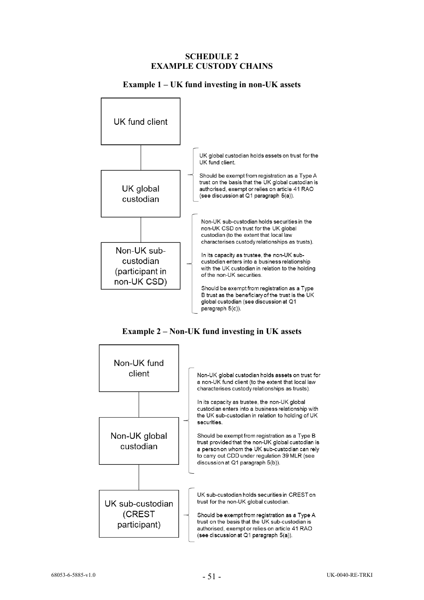### **SCHEDULE 2 EXAMPLE CUSTODY CHAINS**

#### <span id="page-50-0"></span>UK fund client UK global custodian holds assets on trust for the UK fund client. Should be exempt from registration as a Type A trust on the basis that the UK global custodian is UK global authorised, exempt or relies on article 41 RAO (see discussion at Q1 paragraph 5(a)). custodian Non-UK sub-custodian holds securities in the non-UK CSD on trust for the UK global custodian (to the extent that local law characterises custody relationships as trusts). Non-UK sub-In its capacity as trustee, the non-UK subcustodian custodian enters into a business relationship with the UK custodian in relation to the holding (participant in of the non-UK securities. non-UK CSD) Should be exempt from registration as a Type B trust as the beneficiary of the trust is the UK global custodian (see discussion at Q1 paragraph 5(c)).

#### **Example 1 – UK fund investing in non-UK assets**

**Example 2 – Non-UK fund investing in UK assets**

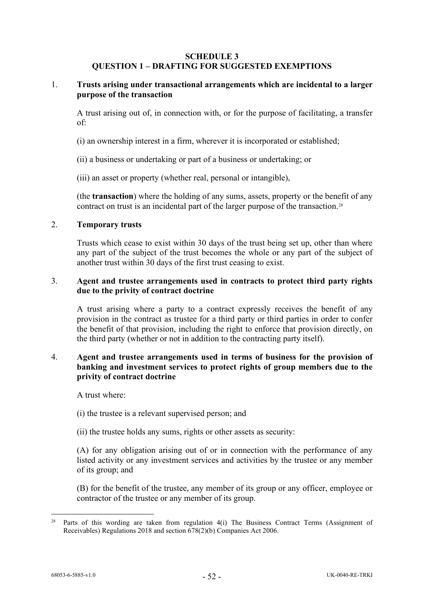### **SCHEDULE 3 QUESTION 1 – DRAFTING FOR SUGGESTED EXEMPTIONS**

### <span id="page-51-1"></span><span id="page-51-0"></span>1. **Trusts arising under transactional arrangements which are incidental to a larger purpose of the transaction**

A trust arising out of, in connection with, or for the purpose of facilitating, a transfer of:

- (i) an ownership interest in a firm, wherever it is incorporated or established;
- (ii) a business or undertaking or part of a business or undertaking; or
- (iii) an asset or property (whether real, personal or intangible),

(the **transaction**) where the holding of any sums, assets, property or the benefit of any contract on trust is an incidental part of the larger purpose of the transaction.[28](#page-51-5)

#### <span id="page-51-2"></span>2. **Temporary trusts**

Trusts which cease to exist within 30 days of the trust being set up, other than where any part of the subject of the trust becomes the whole or any part of the subject of another trust within 30 days of the first trust ceasing to exist.

### <span id="page-51-3"></span>3. **Agent and trustee arrangements used in contracts to protect third party rights due to the privity of contract doctrine**

A trust arising where a party to a contract expressly receives the benefit of any provision in the contract as trustee for a third party or third parties in order to confer the benefit of that provision, including the right to enforce that provision directly, on the third party (whether or not in addition to the contracting party itself).

## <span id="page-51-4"></span>4. **Agent and trustee arrangements used in terms of business for the provision of banking and investment services to protect rights of group members due to the privity of contract doctrine**

A trust where:

- (i) the trustee is a relevant supervised person; and
- (ii) the trustee holds any sums, rights or other assets as security:

(A) for any obligation arising out of or in connection with the performance of any listed activity or any investment services and activities by the trustee or any member of its group; and

(B) for the benefit of the trustee, any member of its group or any officer, employee or contractor of the trustee or any member of its group.

<span id="page-51-5"></span><sup>&</sup>lt;sup>28</sup> Parts of this wording are taken from regulation 4(i) The Business Contract Terms (Assignment of Receivables) Regulations 2018 and section 678(2)(b) Companies Act 2006.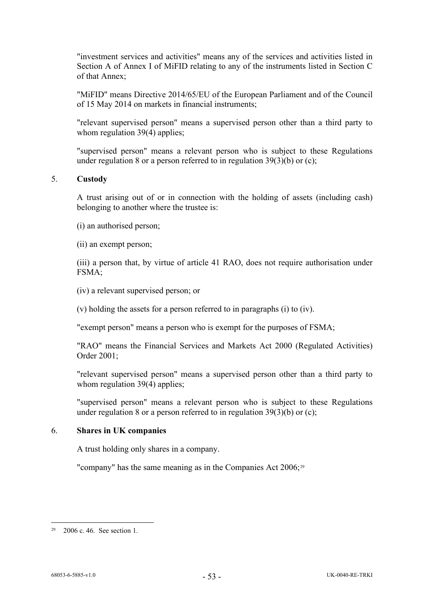"investment services and activities" means any of the services and activities listed in Section A of Annex I of MiFID relating to any of the instruments listed in Section C of that Annex;

"MiFID" means Directive 2014/65/EU of the European Parliament and of the Council of 15 May 2014 on markets in financial instruments;

"relevant supervised person" means a supervised person other than a third party to whom regulation 39(4) applies:

"supervised person" means a relevant person who is subject to these Regulations under regulation 8 or a person referred to in regulation 39(3)(b) or (c);

#### <span id="page-52-0"></span>5. **Custody**

A trust arising out of or in connection with the holding of assets (including cash) belonging to another where the trustee is:

(i) an authorised person;

(ii) an exempt person;

(iii) a person that, by virtue of article 41 RAO, does not require authorisation under FSMA;

(iv) a relevant supervised person; or

(v) holding the assets for a person referred to in paragraphs (i) to (iv).

"exempt person" means a person who is exempt for the purposes of FSMA;

"RAO" means the Financial Services and Markets Act 2000 (Regulated Activities) Order 2001;

"relevant supervised person" means a supervised person other than a third party to whom regulation 39(4) applies;

"supervised person" means a relevant person who is subject to these Regulations under regulation 8 or a person referred to in regulation 39(3)(b) or (c);

### <span id="page-52-1"></span>6. **Shares in UK companies**

A trust holding only shares in a company.

"company" has the same meaning as in the Companies Act 2006;[29](#page-52-2)

<span id="page-52-2"></span> $29$  2006 c. 46. See section 1.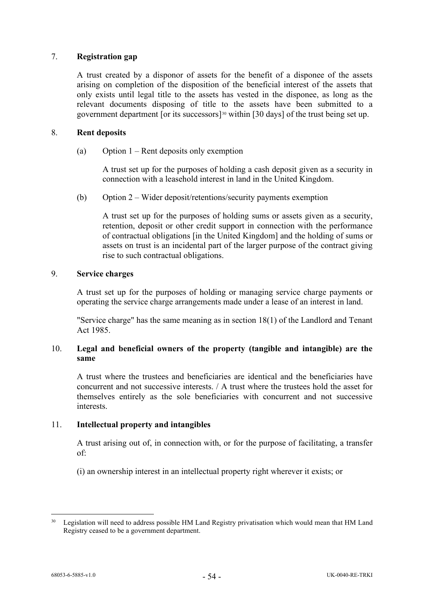# <span id="page-53-0"></span>7. **Registration gap**

A trust created by a disponor of assets for the benefit of a disponee of the assets arising on completion of the disposition of the beneficial interest of the assets that only exists until legal title to the assets has vested in the disponee, as long as the relevant documents disposing of title to the assets have been submitted to a government department [or its successors][30](#page-53-3) within [30 days] of the trust being set up.

### 8. **Rent deposits**

(a) Option 1 – Rent deposits only exemption

A trust set up for the purposes of holding a cash deposit given as a security in connection with a leasehold interest in land in the United Kingdom.

(b) Option 2 – Wider deposit/retentions/security payments exemption

A trust set up for the purposes of holding sums or assets given as a security, retention, deposit or other credit support in connection with the performance of contractual obligations [in the United Kingdom] and the holding of sums or assets on trust is an incidental part of the larger purpose of the contract giving rise to such contractual obligations.

## <span id="page-53-1"></span>9. **Service charges**

A trust set up for the purposes of holding or managing service charge payments or operating the service charge arrangements made under a lease of an interest in land.

"Service charge" has the same meaning as in section 18(1) of the Landlord and Tenant Act 1985.

## <span id="page-53-2"></span>10. **Legal and beneficial owners of the property (tangible and intangible) are the same**

A trust where the trustees and beneficiaries are identical and the beneficiaries have concurrent and not successive interests. / A trust where the trustees hold the asset for themselves entirely as the sole beneficiaries with concurrent and not successive interests.

# 11. **Intellectual property and intangibles**

A trust arising out of, in connection with, or for the purpose of facilitating, a transfer of:

(i) an ownership interest in an intellectual property right wherever it exists; or

<span id="page-53-3"></span><sup>&</sup>lt;sup>30</sup> Legislation will need to address possible HM Land Registry privatisation which would mean that HM Land Registry ceased to be a government department.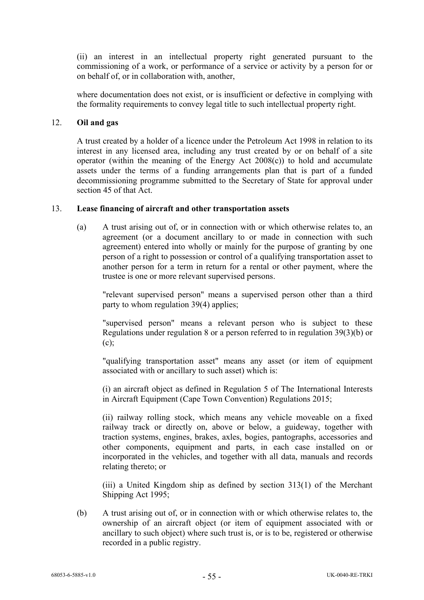(ii) an interest in an intellectual property right generated pursuant to the commissioning of a work, or performance of a service or activity by a person for or on behalf of, or in collaboration with, another,

where documentation does not exist, or is insufficient or defective in complying with the formality requirements to convey legal title to such intellectual property right.

#### 12. **Oil and gas**

A trust created by a holder of a licence under the Petroleum Act 1998 in relation to its interest in any licensed area, including any trust created by or on behalf of a site operator (within the meaning of the Energy Act  $2008(c)$ ) to hold and accumulate assets under the terms of a funding arrangements plan that is part of a funded decommissioning programme submitted to the Secretary of State for approval under section 45 of that Act.

# <span id="page-54-0"></span>13. **Lease financing of aircraft and other transportation assets**

(a) A trust arising out of, or in connection with or which otherwise relates to, an agreement (or a document ancillary to or made in connection with such agreement) entered into wholly or mainly for the purpose of granting by one person of a right to possession or control of a qualifying transportation asset to another person for a term in return for a rental or other payment, where the trustee is one or more relevant supervised persons.

"relevant supervised person" means a supervised person other than a third party to whom regulation 39(4) applies;

"supervised person" means a relevant person who is subject to these Regulations under regulation 8 or a person referred to in regulation 39(3)(b) or  $(c)$ ;

"qualifying transportation asset" means any asset (or item of equipment associated with or ancillary to such asset) which is:

(i) an aircraft object as defined in Regulation 5 of The International Interests in Aircraft Equipment (Cape Town Convention) Regulations 2015;

(ii) railway rolling stock, which means any vehicle moveable on a fixed railway track or directly on, above or below, a guideway, together with traction systems, engines, brakes, axles, bogies, pantographs, accessories and other components, equipment and parts, in each case installed on or incorporated in the vehicles, and together with all data, manuals and records relating thereto; or

(iii) a United Kingdom ship as defined by section 313(1) of the Merchant Shipping Act 1995;

(b) A trust arising out of, or in connection with or which otherwise relates to, the ownership of an aircraft object (or item of equipment associated with or ancillary to such object) where such trust is, or is to be, registered or otherwise recorded in a public registry.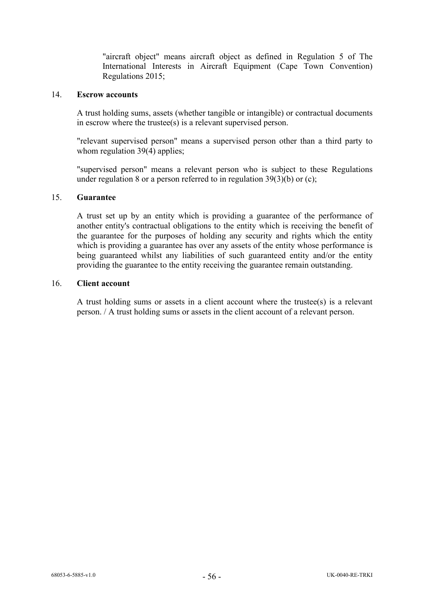"aircraft object" means aircraft object as defined in Regulation 5 of The International Interests in Aircraft Equipment (Cape Town Convention) Regulations 2015;

#### <span id="page-55-0"></span>14. **Escrow accounts**

A trust holding sums, assets (whether tangible or intangible) or contractual documents in escrow where the trustee(s) is a relevant supervised person.

"relevant supervised person" means a supervised person other than a third party to whom regulation 39(4) applies;

"supervised person" means a relevant person who is subject to these Regulations under regulation 8 or a person referred to in regulation  $39(3)(b)$  or (c);

#### <span id="page-55-1"></span>15. **Guarantee**

A trust set up by an entity which is providing a guarantee of the performance of another entity's contractual obligations to the entity which is receiving the benefit of the guarantee for the purposes of holding any security and rights which the entity which is providing a guarantee has over any assets of the entity whose performance is being guaranteed whilst any liabilities of such guaranteed entity and/or the entity providing the guarantee to the entity receiving the guarantee remain outstanding.

#### <span id="page-55-2"></span>16. **Client account**

A trust holding sums or assets in a client account where the trustee(s) is a relevant person. / A trust holding sums or assets in the client account of a relevant person.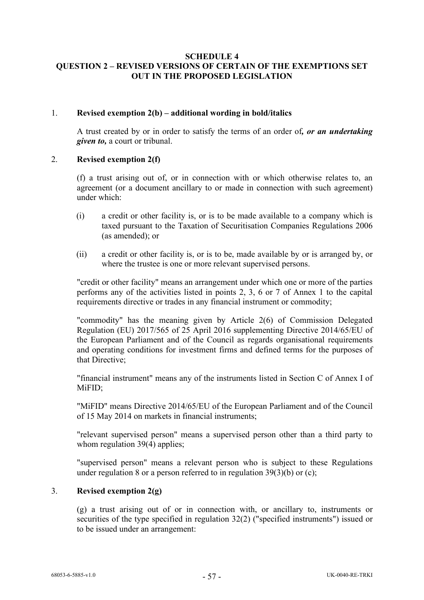### <span id="page-56-1"></span>**SCHEDULE 4 QUESTION 2 – REVISED VERSIONS OF CERTAIN OF THE EXEMPTIONS SET OUT IN THE PROPOSED LEGISLATION**

### <span id="page-56-0"></span>1. **Revised exemption 2(b) – additional wording in bold/italics**

A trust created by or in order to satisfy the terms of an order of*, or an undertaking given to,* a court or tribunal.

## <span id="page-56-2"></span>2. **Revised exemption 2(f)**

(f) a trust arising out of, or in connection with or which otherwise relates to, an agreement (or a document ancillary to or made in connection with such agreement) under which:

- (i) a credit or other facility is, or is to be made available to a company which is taxed pursuant to the Taxation of Securitisation Companies Regulations 2006 (as amended); or
- (ii) a credit or other facility is, or is to be, made available by or is arranged by, or where the trustee is one or more relevant supervised persons.

"credit or other facility" means an arrangement under which one or more of the parties performs any of the activities listed in points 2, 3, 6 or 7 of Annex 1 to the capital requirements directive or trades in any financial instrument or commodity;

"commodity" has the meaning given by Article 2(6) of Commission Delegated Regulation (EU) 2017/565 of 25 April 2016 supplementing Directive 2014/65/EU of the European Parliament and of the Council as regards organisational requirements and operating conditions for investment firms and defined terms for the purposes of that Directive;

"financial instrument" means any of the instruments listed in Section C of Annex I of MiFID;

"MiFID" means Directive 2014/65/EU of the European Parliament and of the Council of 15 May 2014 on markets in financial instruments;

"relevant supervised person" means a supervised person other than a third party to whom regulation 39(4) applies;

"supervised person" means a relevant person who is subject to these Regulations under regulation 8 or a person referred to in regulation  $39(3)(b)$  or (c);

# <span id="page-56-3"></span>3. **Revised exemption 2(g)**

(g) a trust arising out of or in connection with, or ancillary to, instruments or securities of the type specified in regulation 32(2) ("specified instruments") issued or to be issued under an arrangement: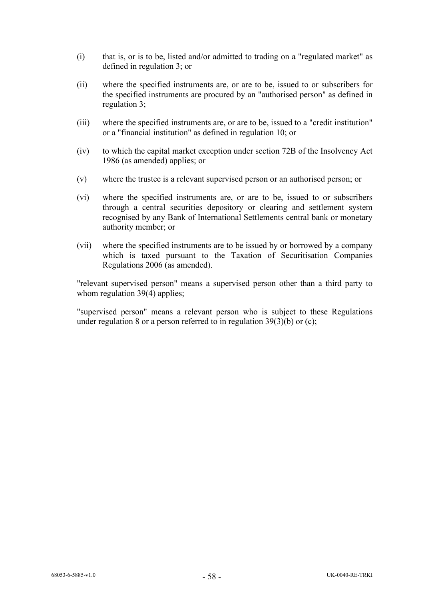- (i) that is, or is to be, listed and/or admitted to trading on a "regulated market" as defined in regulation 3; or
- (ii) where the specified instruments are, or are to be, issued to or subscribers for the specified instruments are procured by an "authorised person" as defined in regulation 3;
- (iii) where the specified instruments are, or are to be, issued to a "credit institution" or a "financial institution" as defined in regulation 10; or
- (iv) to which the capital market exception under section 72B of the Insolvency Act 1986 (as amended) applies; or
- (v) where the trustee is a relevant supervised person or an authorised person; or
- (vi) where the specified instruments are, or are to be, issued to or subscribers through a central securities depository or clearing and settlement system recognised by any Bank of International Settlements central bank or monetary authority member; or
- (vii) where the specified instruments are to be issued by or borrowed by a company which is taxed pursuant to the Taxation of Securitisation Companies Regulations 2006 (as amended).

"relevant supervised person" means a supervised person other than a third party to whom regulation 39(4) applies;

"supervised person" means a relevant person who is subject to these Regulations under regulation 8 or a person referred to in regulation  $39(3)(b)$  or (c);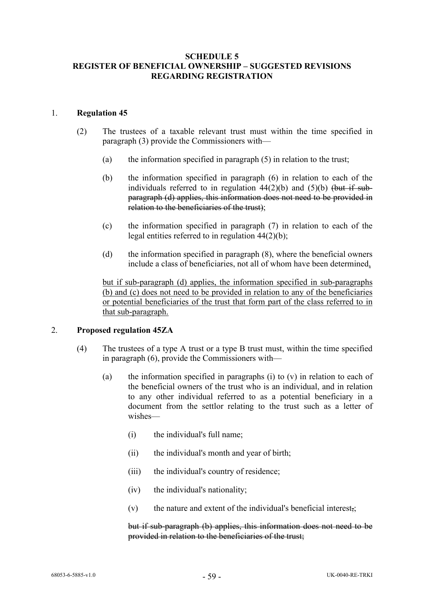### **SCHEDULE 5 REGISTER OF BENEFICIAL OWNERSHIP – SUGGESTED REVISIONS REGARDING REGISTRATION**

### 1. **Regulation 45**

- (2) The trustees of a taxable relevant trust must within the time specified in paragraph (3) provide the Commissioners with—
	- (a) the information specified in paragraph  $(5)$  in relation to the trust;
	- (b) the information specified in paragraph (6) in relation to each of the individuals referred to in regulation  $44(2)(b)$  and  $(5)(b)$  (but if subparagraph (d) applies, this information does not need to be provided in relation to the beneficiaries of the trust);
	- (c) the information specified in paragraph (7) in relation to each of the legal entities referred to in regulation 44(2)(b);
	- (d) the information specified in paragraph (8), where the beneficial owners include a class of beneficiaries, not all of whom have been determined,

but if sub-paragraph (d) applies, the information specified in sub-paragraphs  $(b)$  and  $(c)$  does not need to be provided in relation to any of the beneficiaries or potential beneficiaries of the trust that form part of the class referred to in that sub-paragraph.

### 2. **Proposed regulation 45ZA**

- (4) The trustees of a type A trust or a type B trust must, within the time specified in paragraph (6), provide the Commissioners with—
	- (a) the information specified in paragraphs (i) to  $(v)$  in relation to each of the beneficial owners of the trust who is an individual, and in relation to any other individual referred to as a potential beneficiary in a document from the settlor relating to the trust such as a letter of wishes—
		- (i) the individual's full name;
		- (ii) the individual's month and year of birth;
		- (iii) the individual's country of residence;
		- (iv) the individual's nationality;
		- $(v)$  the nature and extent of the individual's beneficial interest,;

but if sub-paragraph (b) applies, this information does not need to be provided in relation to the beneficiaries of the trust;